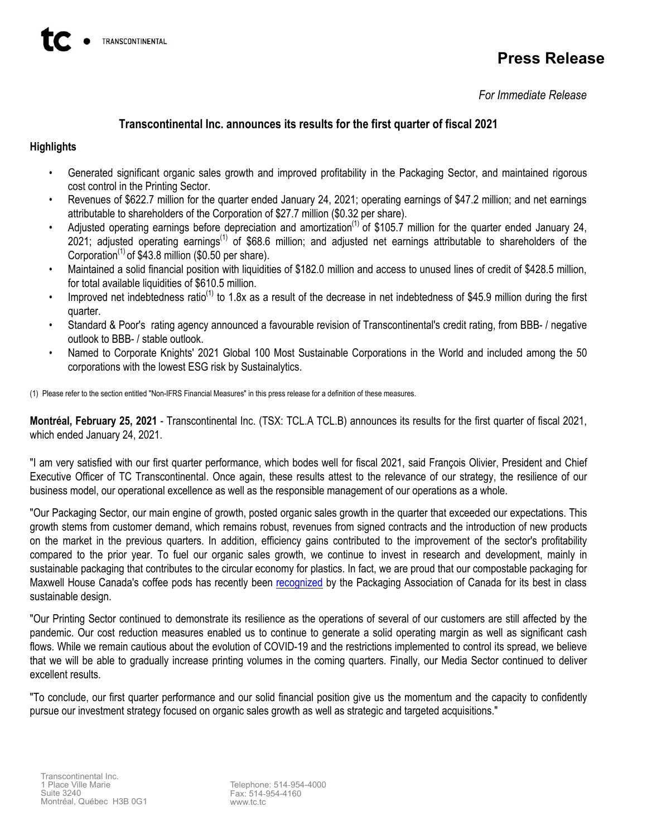# **Press Release**

*For Immediate Release*

## **Transcontinental Inc. announces its results for the first quarter of fiscal 2021**

## **Highlights**

- Generated significant organic sales growth and improved profitability in the Packaging Sector, and maintained rigorous cost control in the Printing Sector.
- Revenues of \$622.7 million for the quarter ended January 24, 2021; operating earnings of \$47.2 million; and net earnings attributable to shareholders of the Corporation of \$27.7 million (\$0.32 per share).
- Adjusted operating earnings before depreciation and amortization<sup>(1)</sup> of \$105.7 million for the quarter ended January 24,  $2021$ ; adjusted operating earnings<sup>(1)</sup> of \$68.6 million; and adjusted net earnings attributable to shareholders of the Corporation<sup>(1)</sup> of \$43.8 million (\$0.50 per share).
- Maintained a solid financial position with liquidities of \$182.0 million and access to unused lines of credit of \$428.5 million, for total available liquidities of \$610.5 million.
- Improved net indebtedness ratio<sup>(1)</sup> to 1.8x as a result of the decrease in net indebtedness of \$45.9 million during the first quarter.
- Standard & Poor's rating agency announced a favourable revision of Transcontinental's credit rating, from BBB- / negative outlook to BBB- / stable outlook.
- Named to Corporate Knights' 2021 Global 100 Most Sustainable Corporations in the World and included among the 50 corporations with the lowest ESG risk by Sustainalytics.

(1) Please refer to the section entitled "Non-IFRS Financial Measures" in this press release for a definition of these measures.

**Montréal, February 25, 2021** - Transcontinental Inc. (TSX: TCL.A TCL.B) announces its results for the first quarter of fiscal 2021, which ended January 24, 2021.

"I am very satisfied with our first quarter performance, which bodes well for fiscal 2021, said François Olivier, President and Chief Executive Officer of TC Transcontinental. Once again, these results attest to the relevance of our strategy, the resilience of our business model, our operational excellence as well as the responsible management of our operations as a whole.

"Our Packaging Sector, our main engine of growth, posted organic sales growth in the quarter that exceeded our expectations. This growth stems from customer demand, which remains robust, revenues from signed contracts and the introduction of new products on the market in the previous quarters. In addition, efficiency gains contributed to the improvement of the sector's profitability compared to the prior year. To fuel our organic sales growth, we continue to invest in research and development, mainly in sustainable packaging that contributes to the circular economy for plastics. In fact, we are proud that our compostable packaging for Maxwell House Canada's coffee pods has recently been [recognized](https://www.pac-awards.com/2021winners) by the Packaging Association of Canada for its best in class sustainable design.

"Our Printing Sector continued to demonstrate its resilience as the operations of several of our customers are still affected by the pandemic. Our cost reduction measures enabled us to continue to generate a solid operating margin as well as significant cash flows. While we remain cautious about the evolution of COVID-19 and the restrictions implemented to control its spread, we believe that we will be able to gradually increase printing volumes in the coming quarters. Finally, our Media Sector continued to deliver excellent results.

"To conclude, our first quarter performance and our solid financial position give us the momentum and the capacity to confidently pursue our investment strategy focused on organic sales growth as well as strategic and targeted acquisitions."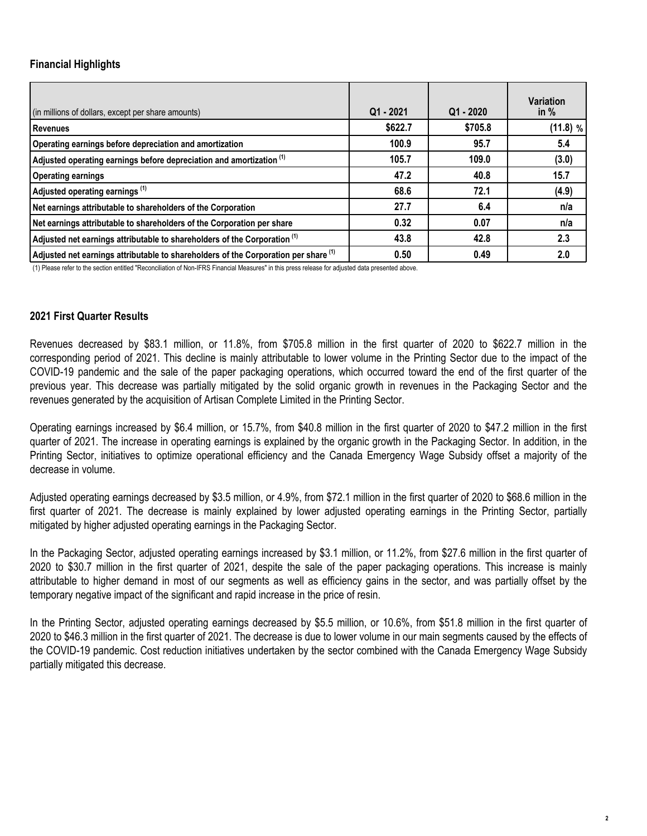## **Financial Highlights**

| (in millions of dollars, except per share amounts)                                   | $Q1 - 2021$ | $Q1 - 2020$ | <b>Variation</b><br>in $%$ |
|--------------------------------------------------------------------------------------|-------------|-------------|----------------------------|
| <b>Revenues</b>                                                                      | \$622.7     | \$705.8     | (11.8) %                   |
| Operating earnings before depreciation and amortization                              | 100.9       | 95.7        | 5.4                        |
| Adjusted operating earnings before depreciation and amortization <sup>(1)</sup>      | 105.7       | 109.0       | (3.0)                      |
| <b>Operating earnings</b>                                                            | 47.2        | 40.8        | 15.7                       |
| Adjusted operating earnings <sup>(1)</sup>                                           | 68.6        | 72.1        | (4.9)                      |
| Net earnings attributable to shareholders of the Corporation                         | 27.7        | 6.4         | n/a                        |
| Net earnings attributable to shareholders of the Corporation per share               | 0.32        | 0.07        | n/a                        |
| Adjusted net earnings attributable to shareholders of the Corporation <sup>(1)</sup> | 43.8        | 42.8        | 2.3                        |
| Adjusted net earnings attributable to shareholders of the Corporation per share (1)  | 0.50        | 0.49        | 2.0                        |

(1) Please refer to the section entitled "Reconciliation of Non-IFRS Financial Measures" in this press release for adjusted data presented above.

## **2021 First Quarter Results**

Revenues decreased by \$83.1 million, or 11.8%, from \$705.8 million in the first quarter of 2020 to \$622.7 million in the corresponding period of 2021. This decline is mainly attributable to lower volume in the Printing Sector due to the impact of the COVID-19 pandemic and the sale of the paper packaging operations, which occurred toward the end of the first quarter of the previous year. This decrease was partially mitigated by the solid organic growth in revenues in the Packaging Sector and the revenues generated by the acquisition of Artisan Complete Limited in the Printing Sector.

Operating earnings increased by \$6.4 million, or 15.7%, from \$40.8 million in the first quarter of 2020 to \$47.2 million in the first quarter of 2021. The increase in operating earnings is explained by the organic growth in the Packaging Sector. In addition, in the Printing Sector, initiatives to optimize operational efficiency and the Canada Emergency Wage Subsidy offset a majority of the decrease in volume.

Adjusted operating earnings decreased by \$3.5 million, or 4.9%, from \$72.1 million in the first quarter of 2020 to \$68.6 million in the first quarter of 2021. The decrease is mainly explained by lower adjusted operating earnings in the Printing Sector, partially mitigated by higher adjusted operating earnings in the Packaging Sector.

In the Packaging Sector, adjusted operating earnings increased by \$3.1 million, or 11.2%, from \$27.6 million in the first quarter of 2020 to \$30.7 million in the first quarter of 2021, despite the sale of the paper packaging operations. This increase is mainly attributable to higher demand in most of our segments as well as efficiency gains in the sector, and was partially offset by the temporary negative impact of the significant and rapid increase in the price of resin.

In the Printing Sector, adjusted operating earnings decreased by \$5.5 million, or 10.6%, from \$51.8 million in the first quarter of 2020 to \$46.3 million in the first quarter of 2021. The decrease is due to lower volume in our main segments caused by the effects of the COVID-19 pandemic. Cost reduction initiatives undertaken by the sector combined with the Canada Emergency Wage Subsidy partially mitigated this decrease.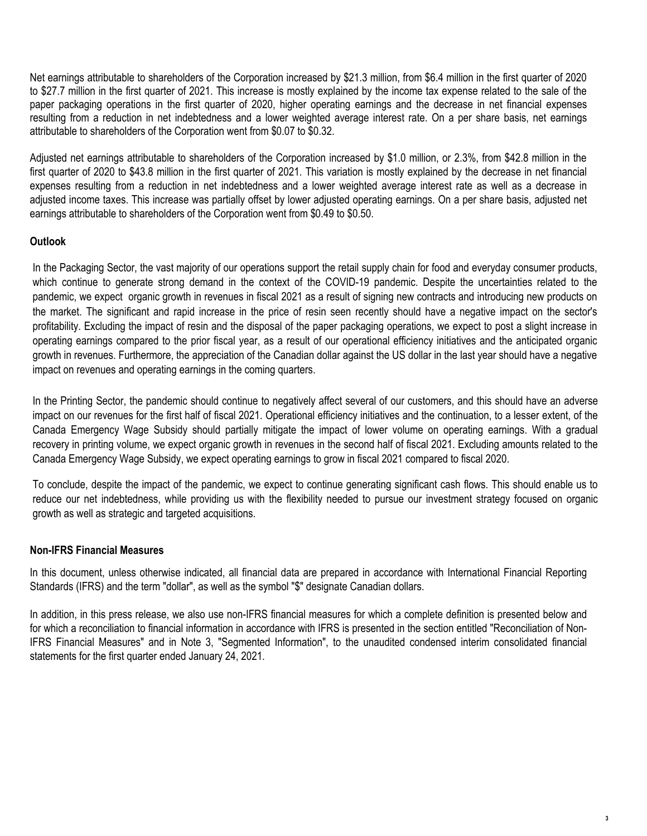Net earnings attributable to shareholders of the Corporation increased by \$21.3 million, from \$6.4 million in the first quarter of 2020 to \$27.7 million in the first quarter of 2021. This increase is mostly explained by the income tax expense related to the sale of the paper packaging operations in the first quarter of 2020, higher operating earnings and the decrease in net financial expenses resulting from a reduction in net indebtedness and a lower weighted average interest rate. On a per share basis, net earnings attributable to shareholders of the Corporation went from \$0.07 to \$0.32.

Adjusted net earnings attributable to shareholders of the Corporation increased by \$1.0 million, or 2.3%, from \$42.8 million in the first quarter of 2020 to \$43.8 million in the first quarter of 2021. This variation is mostly explained by the decrease in net financial expenses resulting from a reduction in net indebtedness and a lower weighted average interest rate as well as a decrease in adjusted income taxes. This increase was partially offset by lower adjusted operating earnings. On a per share basis, adjusted net earnings attributable to shareholders of the Corporation went from \$0.49 to \$0.50.

## **Outlook**

In the Packaging Sector, the vast majority of our operations support the retail supply chain for food and everyday consumer products, which continue to generate strong demand in the context of the COVID-19 pandemic. Despite the uncertainties related to the pandemic, we expect organic growth in revenues in fiscal 2021 as a result of signing new contracts and introducing new products on the market. The significant and rapid increase in the price of resin seen recently should have a negative impact on the sector's profitability. Excluding the impact of resin and the disposal of the paper packaging operations, we expect to post a slight increase in operating earnings compared to the prior fiscal year, as a result of our operational efficiency initiatives and the anticipated organic growth in revenues. Furthermore, the appreciation of the Canadian dollar against the US dollar in the last year should have a negative impact on revenues and operating earnings in the coming quarters.

In the Printing Sector, the pandemic should continue to negatively affect several of our customers, and this should have an adverse impact on our revenues for the first half of fiscal 2021. Operational efficiency initiatives and the continuation, to a lesser extent, of the Canada Emergency Wage Subsidy should partially mitigate the impact of lower volume on operating earnings. With a gradual recovery in printing volume, we expect organic growth in revenues in the second half of fiscal 2021. Excluding amounts related to the Canada Emergency Wage Subsidy, we expect operating earnings to grow in fiscal 2021 compared to fiscal 2020.

To conclude, despite the impact of the pandemic, we expect to continue generating significant cash flows. This should enable us to reduce our net indebtedness, while providing us with the flexibility needed to pursue our investment strategy focused on organic growth as well as strategic and targeted acquisitions.

### **Non-IFRS Financial Measures**

In this document, unless otherwise indicated, all financial data are prepared in accordance with International Financial Reporting Standards (IFRS) and the term "dollar", as well as the symbol "\$" designate Canadian dollars.

In addition, in this press release, we also use non-IFRS financial measures for which a complete definition is presented below and for which a reconciliation to financial information in accordance with IFRS is presented in the section entitled "Reconciliation of Non-IFRS Financial Measures" and in Note 3, "Segmented Information", to the unaudited condensed interim consolidated financial statements for the first quarter ended January 24, 2021.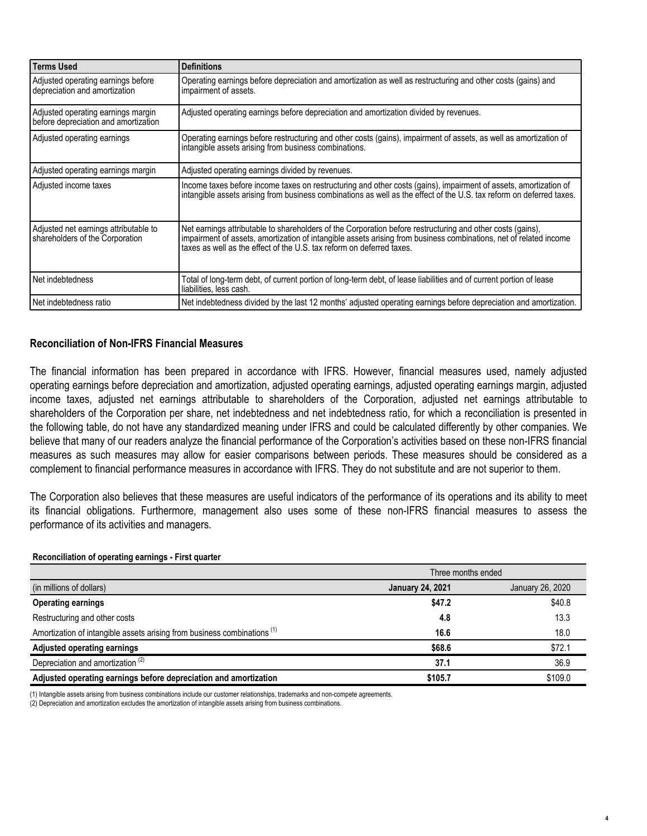| <b>Terms Used</b>                                                          | <b>Definitions</b>                                                                                                                                                                                                                                                                                       |
|----------------------------------------------------------------------------|----------------------------------------------------------------------------------------------------------------------------------------------------------------------------------------------------------------------------------------------------------------------------------------------------------|
| Adjusted operating earnings before<br>depreciation and amortization        | Operating earnings before depreciation and amortization as well as restructuring and other costs (gains) and<br>impairment of assets.                                                                                                                                                                    |
| Adjusted operating earnings margin<br>before depreciation and amortization | Adjusted operating earnings before depreciation and amortization divided by revenues.                                                                                                                                                                                                                    |
| Adjusted operating earnings                                                | Operating earnings before restructuring and other costs (gains), impairment of assets, as well as amortization of<br>intangible assets arising from business combinations.                                                                                                                               |
| Adjusted operating earnings margin                                         | Adjusted operating earnings divided by revenues.                                                                                                                                                                                                                                                         |
| Adjusted income taxes                                                      | Income taxes before income taxes on restructuring and other costs (gains), impairment of assets, amortization of<br>intangible assets arising from business combinations as well as the effect of the U.S. tax reform on deferred taxes.                                                                 |
| Adjusted net earnings attributable to<br>shareholders of the Corporation   | Net earnings attributable to shareholders of the Corporation before restructuring and other costs (gains).<br>impairment of assets, amortization of intangible assets arising from business combinations, net of related income<br>taxes as well as the effect of the U.S. tax reform on deferred taxes. |
| Net indebtedness                                                           | Total of long-term debt, of current portion of long-term debt, of lease liabilities and of current portion of lease<br>liabilities, less cash.                                                                                                                                                           |
| l Net indebtedness ratio                                                   | Net indebtedness divided by the last 12 months' adjusted operating earnings before depreciation and amortization.                                                                                                                                                                                        |

## **Reconciliation of Non-IFRS Financial Measures**

The financial information has been prepared in accordance with IFRS. However, financial measures used, namely adjusted operating earnings before depreciation and amortization, adjusted operating earnings, adjusted operating earnings margin, adjusted income taxes, adjusted net earnings attributable to shareholders of the Corporation, adjusted net earnings attributable to shareholders of the Corporation per share, net indebtedness and net indebtedness ratio, for which a reconciliation is presented in the following table, do not have any standardized meaning under IFRS and could be calculated differently by other companies. We believe that many of our readers analyze the financial performance of the Corporation's activities based on these non-IFRS financial measures as such measures may allow for easier comparisons between periods. These measures should be considered as a complement to financial performance measures in accordance with IFRS. They do not substitute and are not superior to them.

The Corporation also believes that these measures are useful indicators of the performance of its operations and its ability to meet its financial obligations. Furthermore, management also uses some of these non-IFRS financial measures to assess the performance of its activities and managers.

### **Reconciliation of operating earnings - First quarter**

|                                                                                     | Three months ended                          |         |  |  |  |  |
|-------------------------------------------------------------------------------------|---------------------------------------------|---------|--|--|--|--|
| (in millions of dollars)                                                            | January 26, 2020<br><b>January 24, 2021</b> |         |  |  |  |  |
| <b>Operating earnings</b>                                                           | \$47.2                                      | \$40.8  |  |  |  |  |
| Restructuring and other costs                                                       | 4.8                                         | 13.3    |  |  |  |  |
| Amortization of intangible assets arising from business combinations <sup>(1)</sup> | 16.6                                        | 18.0    |  |  |  |  |
| Adjusted operating earnings                                                         | \$68.6                                      | \$72.1  |  |  |  |  |
| Depreciation and amortization <sup>(2)</sup>                                        | 37.1                                        | 36.9    |  |  |  |  |
| Adjusted operating earnings before depreciation and amortization                    | \$105.7                                     | \$109.0 |  |  |  |  |

(1) Intangible assets arising from business combinations include our customer relationships, trademarks and non-compete agreements.

(2) Depreciation and amortization excludes the amortization of intangible assets arising from business combinations.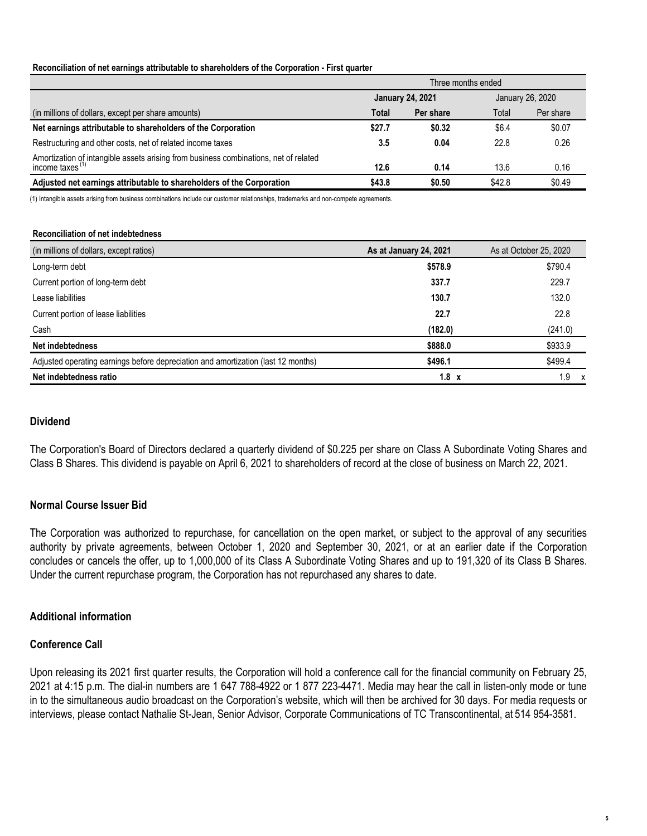#### **Reconciliation of net earnings attributable to shareholders of the Corporation - First quarter**

|                                                                                                            | Three months ended |                         |        |                  |  |  |  |  |
|------------------------------------------------------------------------------------------------------------|--------------------|-------------------------|--------|------------------|--|--|--|--|
|                                                                                                            |                    | <b>January 24, 2021</b> |        | January 26, 2020 |  |  |  |  |
| (in millions of dollars, except per share amounts)                                                         | Total              | Per share               | Total  | Per share        |  |  |  |  |
| Net earnings attributable to shareholders of the Corporation                                               | \$27.7             | \$0.32                  | \$6.4  | \$0.07           |  |  |  |  |
| Restructuring and other costs, net of related income taxes                                                 | 3.5                | 0.04                    | 22.8   | 0.26             |  |  |  |  |
| Amortization of intangible assets arising from business combinations, net of related<br>income taxes $(1)$ | 12.6               | 0.14                    | 13.6   | 0.16             |  |  |  |  |
| Adjusted net earnings attributable to shareholders of the Corporation                                      | \$43.8             | \$0.50                  | \$42.8 | \$0.49           |  |  |  |  |

(1) Intangible assets arising from business combinations include our customer relationships, trademarks and non-compete agreements.

#### **Reconciliation of net indebtedness**

| (in millions of dollars, except ratios)                                           | As at January 24, 2021 | As at October 25, 2020 |
|-----------------------------------------------------------------------------------|------------------------|------------------------|
| Long-term debt                                                                    | \$578.9                | \$790.4                |
| Current portion of long-term debt                                                 | 337.7                  | 229.7                  |
| Lease liabilities                                                                 | 130.7                  | 132.0                  |
| Current portion of lease liabilities                                              | 22.7                   | 22.8                   |
| Cash                                                                              | (182.0)                | (241.0)                |
| Net indebtedness                                                                  | \$888.0                | \$933.9                |
| Adjusted operating earnings before depreciation and amortization (last 12 months) | \$496.1                | \$499.4                |
| Net indebtedness ratio                                                            | $1.8 \times$           | 9. ،                   |

### **Dividend**

The Corporation's Board of Directors declared a quarterly dividend of \$0.225 per share on Class A Subordinate Voting Shares and Class B Shares. This dividend is payable on April 6, 2021 to shareholders of record at the close of business on March 22, 2021.

### **Normal Course Issuer Bid**

The Corporation was authorized to repurchase, for cancellation on the open market, or subject to the approval of any securities authority by private agreements, between October 1, 2020 and September 30, 2021, or at an earlier date if the Corporation concludes or cancels the offer, up to 1,000,000 of its Class A Subordinate Voting Shares and up to 191,320 of its Class B Shares. Under the current repurchase program, the Corporation has not repurchased any shares to date.

### **Additional information**

### **Conference Call**

Upon releasing its 2021 first quarter results, the Corporation will hold a conference call for the financial community on February 25, 2021 at 4:15 p.m. The dial-in numbers are 1 647 788-4922 or 1 877 223-4471. Media may hear the call in listen-only mode or tune in to the simultaneous audio broadcast on the Corporation's website, which will then be archived for 30 days. For media requests or interviews, please contact Nathalie St-Jean, Senior Advisor, Corporate Communications of TC Transcontinental, at 514 954-3581.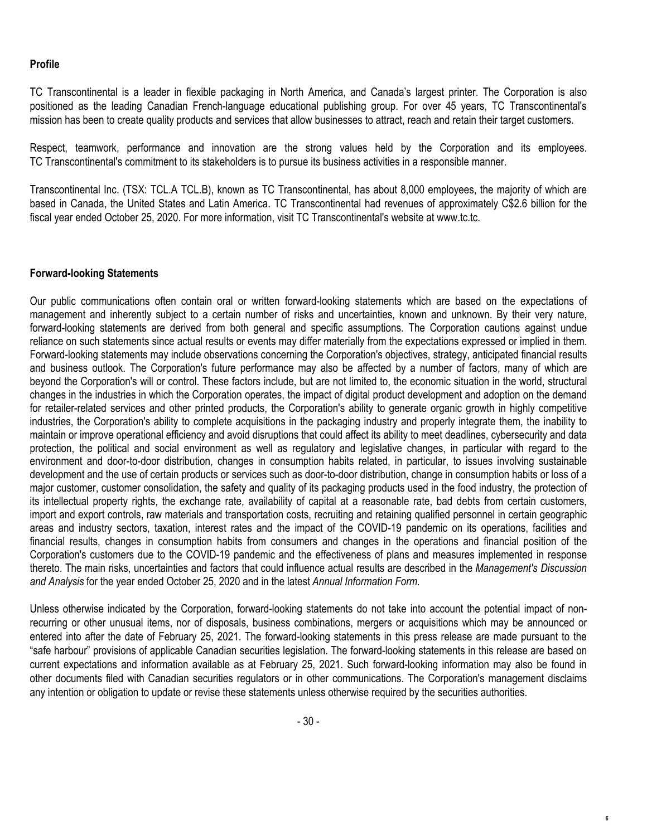### **Profile**

TC Transcontinental is a leader in flexible packaging in North America, and Canada's largest printer. The Corporation is also positioned as the leading Canadian French-language educational publishing group. For over 45 years, TC Transcontinental's mission has been to create quality products and services that allow businesses to attract, reach and retain their target customers.

Respect, teamwork, performance and innovation are the strong values held by the Corporation and its employees. TC Transcontinental's commitment to its stakeholders is to pursue its business activities in a responsible manner.

Transcontinental Inc. (TSX: TCL.A TCL.B), known as TC Transcontinental, has about 8,000 employees, the majority of which are based in Canada, the United States and Latin America. TC Transcontinental had revenues of approximately C\$2.6 billion for the fiscal year ended October 25, 2020. For more information, visit TC Transcontinental's website at www.tc.tc.

### **Forward-looking Statements**

Our public communications often contain oral or written forward-looking statements which are based on the expectations of management and inherently subject to a certain number of risks and uncertainties, known and unknown. By their very nature, forward-looking statements are derived from both general and specific assumptions. The Corporation cautions against undue reliance on such statements since actual results or events may differ materially from the expectations expressed or implied in them. Forward-looking statements may include observations concerning the Corporation's objectives, strategy, anticipated financial results and business outlook. The Corporation's future performance may also be affected by a number of factors, many of which are beyond the Corporation's will or control. These factors include, but are not limited to, the economic situation in the world, structural changes in the industries in which the Corporation operates, the impact of digital product development and adoption on the demand for retailer-related services and other printed products, the Corporation's ability to generate organic growth in highly competitive industries, the Corporation's ability to complete acquisitions in the packaging industry and properly integrate them, the inability to maintain or improve operational efficiency and avoid disruptions that could affect its ability to meet deadlines, cybersecurity and data protection, the political and social environment as well as regulatory and legislative changes, in particular with regard to the environment and door-to-door distribution, changes in consumption habits related, in particular, to issues involving sustainable development and the use of certain products or services such as door-to-door distribution, change in consumption habits or loss of a major customer, customer consolidation, the safety and quality of its packaging products used in the food industry, the protection of its intellectual property rights, the exchange rate, availability of capital at a reasonable rate, bad debts from certain customers, import and export controls, raw materials and transportation costs, recruiting and retaining qualified personnel in certain geographic areas and industry sectors, taxation, interest rates and the impact of the COVID-19 pandemic on its operations, facilities and financial results, changes in consumption habits from consumers and changes in the operations and financial position of the Corporation's customers due to the COVID-19 pandemic and the effectiveness of plans and measures implemented in response thereto. The main risks, uncertainties and factors that could influence actual results are described in the *Management's Discussion and Analysis* for the year ended October 25, 2020 and in the latest *Annual Information Form*.

Unless otherwise indicated by the Corporation, forward-looking statements do not take into account the potential impact of nonrecurring or other unusual items, nor of disposals, business combinations, mergers or acquisitions which may be announced or entered into after the date of February 25, 2021. The forward-looking statements in this press release are made pursuant to the "safe harbour" provisions of applicable Canadian securities legislation. The forward-looking statements in this release are based on current expectations and information available as at February 25, 2021. Such forward-looking information may also be found in other documents filed with Canadian securities regulators or in other communications. The Corporation's management disclaims any intention or obligation to update or revise these statements unless otherwise required by the securities authorities.

**6**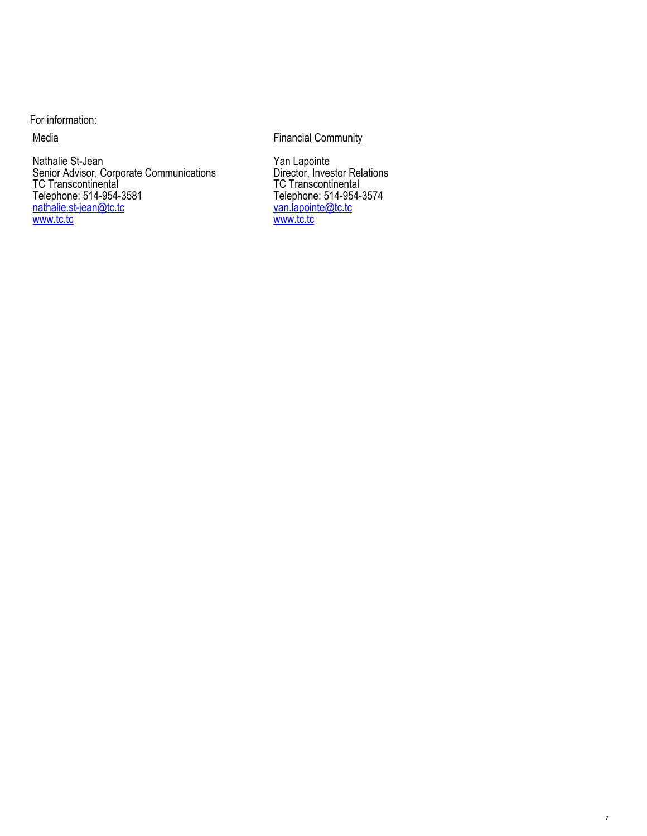For information:

**Media** 

Nathalie St-Jean Senior Advisor, Corporate Communications TC Transcontinental Telephone: 514-954-3581 nathalie.st-jean@tc.tc www.tc.tc

## **Financial Community**

Yan Lapointe Director, Investor Relations TC Transcontinental Telephone: 514-954-3574 yan.lapointe@tc.tc www.tc.tc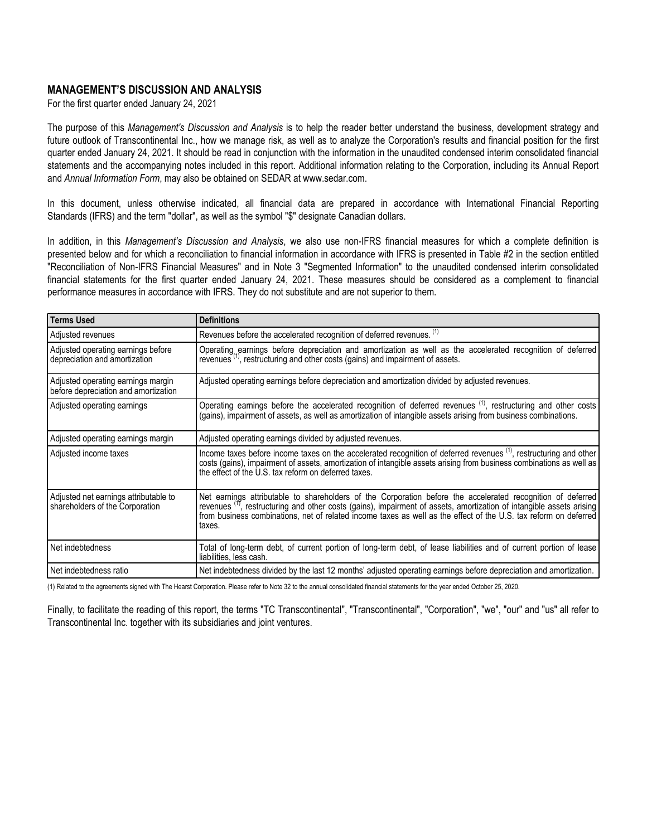### **MANAGEMENT'S DISCUSSION AND ANALYSIS**

For the first quarter ended January 24, 2021

The purpose of this *Management's Discussion and Analysis* is to help the reader better understand the business, development strategy and future outlook of Transcontinental Inc., how we manage risk, as well as to analyze the Corporation's results and financial position for the first quarter ended January 24, 2021. It should be read in conjunction with the information in the unaudited condensed interim consolidated financial statements and the accompanying notes included in this report. Additional information relating to the Corporation, including its Annual Report and *Annual Information Form*, may also be obtained on SEDAR at www.sedar.com.

In this document, unless otherwise indicated, all financial data are prepared in accordance with International Financial Reporting Standards (IFRS) and the term "dollar", as well as the symbol "\$" designate Canadian dollars.

In addition, in this *Management's Discussion and Analysis*, we also use non-IFRS financial measures for which a complete definition is presented below and for which a reconciliation to financial information in accordance with IFRS is presented in Table #2 in the section entitled "Reconciliation of Non-IFRS Financial Measures" and in Note 3 "Segmented Information" to the unaudited condensed interim consolidated financial statements for the first quarter ended January 24, 2021. These measures should be considered as a complement to financial performance measures in accordance with IFRS. They do not substitute and are not superior to them.

| Terms Used                                                                 | <b>Definitions</b>                                                                                                                                                                                                                                                                                                                                                            |
|----------------------------------------------------------------------------|-------------------------------------------------------------------------------------------------------------------------------------------------------------------------------------------------------------------------------------------------------------------------------------------------------------------------------------------------------------------------------|
| Adjusted revenues                                                          | Revenues before the accelerated recognition of deferred revenues. (1)                                                                                                                                                                                                                                                                                                         |
| Adjusted operating earnings before<br>depreciation and amortization        | Operating earnings before depreciation and amortization as well as the accelerated recognition of deferred<br>revenues <sup>(1)</sup> , restructuring and other costs (gains) and impairment of assets.                                                                                                                                                                       |
| Adjusted operating earnings margin<br>before depreciation and amortization | Adjusted operating earnings before depreciation and amortization divided by adjusted revenues.                                                                                                                                                                                                                                                                                |
| Adjusted operating earnings                                                | Operating earnings before the accelerated recognition of deferred revenues <sup>(1)</sup> , restructuring and other costs<br>(gains), impairment of assets, as well as amortization of intangible assets arising from business combinations.                                                                                                                                  |
| Adjusted operating earnings margin                                         | Adjusted operating earnings divided by adjusted revenues.                                                                                                                                                                                                                                                                                                                     |
| Adjusted income taxes                                                      | Income taxes before income taxes on the accelerated recognition of deferred revenues <sup>(1)</sup> , restructuring and other<br>costs (gains), impairment of assets, amortization of intangible assets arising from business combinations as well as<br>the effect of the U.S. tax reform on deferred taxes.                                                                 |
| Adjusted net earnings attributable to<br>shareholders of the Corporation   | Net earnings attributable to shareholders of the Corporation before the accelerated recognition of deferred<br>revenues <sup>(1)</sup> , restructuring and other costs (gains), impairment of assets, amortization of intangible assets arising<br>from business combinations, net of related income taxes as well as the effect of the U.S. tax reform on deferred<br>taxes. |
| l Net indebtedness                                                         | Total of long-term debt, of current portion of long-term debt, of lease liabilities and of current portion of lease<br>liabilities, less cash.                                                                                                                                                                                                                                |
| l Net indebtedness ratio                                                   | Net indebtedness divided by the last 12 months' adjusted operating earnings before depreciation and amortization.                                                                                                                                                                                                                                                             |

(1) Related to the agreements signed with The Hearst Corporation. Please refer to Note 32 to the annual consolidated financial statements for the year ended October 25, 2020.

Finally, to facilitate the reading of this report, the terms "TC Transcontinental", "Transcontinental", "Corporation", "we", "our" and "us" all refer to Transcontinental Inc. together with its subsidiaries and joint ventures.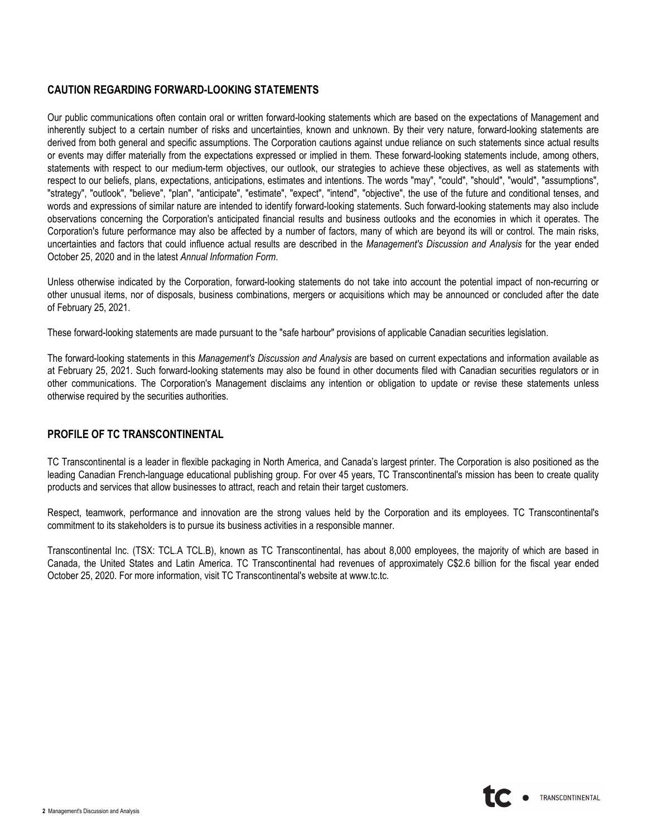## **CAUTION REGARDING FORWARD-LOOKING STATEMENTS**

Our public communications often contain oral or written forward-looking statements which are based on the expectations of Management and inherently subject to a certain number of risks and uncertainties, known and unknown. By their very nature, forward-looking statements are derived from both general and specific assumptions. The Corporation cautions against undue reliance on such statements since actual results or events may differ materially from the expectations expressed or implied in them. These forward-looking statements include, among others, statements with respect to our medium-term objectives, our outlook, our strategies to achieve these objectives, as well as statements with respect to our beliefs, plans, expectations, anticipations, estimates and intentions. The words "may", "could", "should", "would", "assumptions", "strategy", "outlook", "believe", "plan", "anticipate", "estimate", "expect", "intend", "objective", the use of the future and conditional tenses, and words and expressions of similar nature are intended to identify forward-looking statements. Such forward-looking statements may also include observations concerning the Corporation's anticipated financial results and business outlooks and the economies in which it operates. The Corporation's future performance may also be affected by a number of factors, many of which are beyond its will or control. The main risks, uncertainties and factors that could influence actual results are described in the *Management's Discussion and Analysis* for the year ended October 25, 2020 and in the latest *Annual Information Form*.

Unless otherwise indicated by the Corporation, forward-looking statements do not take into account the potential impact of non-recurring or other unusual items, nor of disposals, business combinations, mergers or acquisitions which may be announced or concluded after the date of February 25, 2021.

These forward-looking statements are made pursuant to the "safe harbour" provisions of applicable Canadian securities legislation.

The forward-looking statements in this *Management's Discussion and Analysis* are based on current expectations and information available as at February 25, 2021. Such forward-looking statements may also be found in other documents filed with Canadian securities regulators or in other communications. The Corporation's Management disclaims any intention or obligation to update or revise these statements unless otherwise required by the securities authorities.

### **PROFILE OF TC TRANSCONTINENTAL**

TC Transcontinental is a leader in flexible packaging in North America, and Canada's largest printer. The Corporation is also positioned as the leading Canadian French-language educational publishing group. For over 45 years, TC Transcontinental's mission has been to create quality products and services that allow businesses to attract, reach and retain their target customers.

Respect, teamwork, performance and innovation are the strong values held by the Corporation and its employees. TC Transcontinental's commitment to its stakeholders is to pursue its business activities in a responsible manner.

Transcontinental Inc. (TSX: TCL.A TCL.B), known as TC Transcontinental, has about 8,000 employees, the majority of which are based in Canada, the United States and Latin America. TC Transcontinental had revenues of approximately C\$2.6 billion for the fiscal year ended October 25, 2020. For more information, visit TC Transcontinental's website at www.tc.tc.

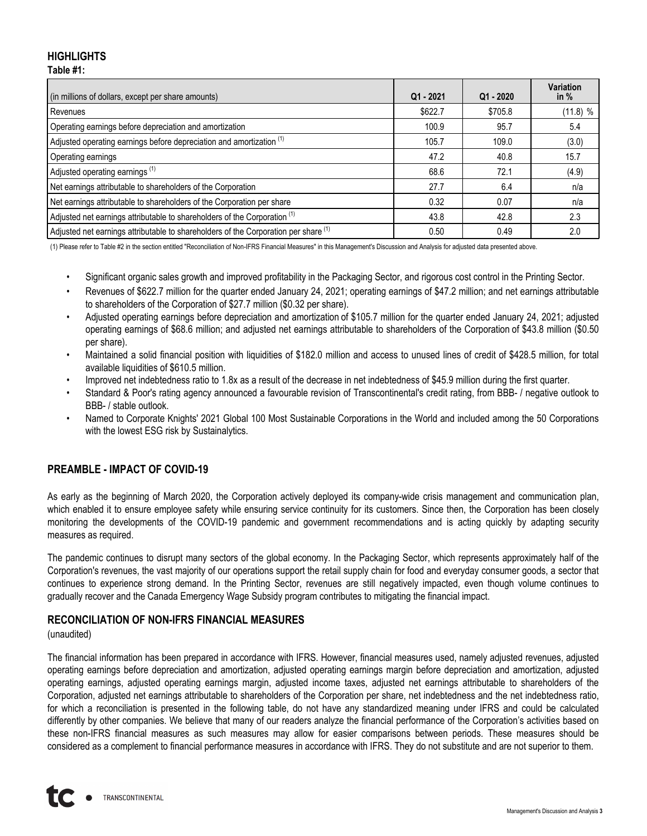### **HIGHLIGHTS Table #1:**

| (in millions of dollars, except per share amounts)                                   | $Q1 - 2021$ | $Q1 - 2020$ | Variation<br>in $%$ |
|--------------------------------------------------------------------------------------|-------------|-------------|---------------------|
| Revenues                                                                             | \$622.7     | \$705.8     | (11.8) %            |
| Operating earnings before depreciation and amortization                              | 100.9       | 95.7        | 5.4                 |
| Adjusted operating earnings before depreciation and amortization <sup>(1)</sup>      | 105.7       | 109.0       | (3.0)               |
| Operating earnings                                                                   | 47.2        | 40.8        | 15.7                |
| Adjusted operating earnings <sup>(1)</sup>                                           | 68.6        | 72.1        | (4.9)               |
| Net earnings attributable to shareholders of the Corporation                         | 27.7        | 6.4         | n/a                 |
| Net earnings attributable to shareholders of the Corporation per share               | 0.32        | 0.07        | n/a                 |
| Adjusted net earnings attributable to shareholders of the Corporation <sup>(1)</sup> | 43.8        | 42.8        | 2.3                 |
| Adjusted net earnings attributable to shareholders of the Corporation per share (1)  | 0.50        | 0.49        | 2.0                 |

(1) Please refer to Table #2 in the section entitled "Reconciliation of Non-IFRS Financial Measures" in this Management's Discussion and Analysis for adjusted data presented above.

- Significant organic sales growth and improved profitability in the Packaging Sector, and rigorous cost control in the Printing Sector.
- Revenues of \$622.7 million for the quarter ended January 24, 2021; operating earnings of \$47.2 million; and net earnings attributable to shareholders of the Corporation of \$27.7 million (\$0.32 per share).
- Adjusted operating earnings before depreciation and amortization of \$105.7 million for the quarter ended January 24, 2021; adjusted operating earnings of \$68.6 million; and adjusted net earnings attributable to shareholders of the Corporation of \$43.8 million (\$0.50 per share).
- Maintained a solid financial position with liquidities of \$182.0 million and access to unused lines of credit of \$428.5 million, for total available liquidities of \$610.5 million.
- Improved net indebtedness ratio to 1.8x as a result of the decrease in net indebtedness of \$45.9 million during the first quarter.
- Standard & Poor's rating agency announced a favourable revision of Transcontinental's credit rating, from BBB- / negative outlook to BBB- / stable outlook.
- Named to Corporate Knights' 2021 Global 100 Most Sustainable Corporations in the World and included among the 50 Corporations with the lowest ESG risk by Sustainalytics.

### **PREAMBLE - IMPACT OF COVID-19**

As early as the beginning of March 2020, the Corporation actively deployed its company-wide crisis management and communication plan, which enabled it to ensure employee safety while ensuring service continuity for its customers. Since then, the Corporation has been closely monitoring the developments of the COVID-19 pandemic and government recommendations and is acting quickly by adapting security measures as required.

The pandemic continues to disrupt many sectors of the global economy. In the Packaging Sector, which represents approximately half of the Corporation's revenues, the vast majority of our operations support the retail supply chain for food and everyday consumer goods, a sector that continues to experience strong demand. In the Printing Sector, revenues are still negatively impacted, even though volume continues to gradually recover and the Canada Emergency Wage Subsidy program contributes to mitigating the financial impact.

### **RECONCILIATION OF NON-IFRS FINANCIAL MEASURES**

### (unaudited)

The financial information has been prepared in accordance with IFRS. However, financial measures used, namely adjusted revenues, adjusted operating earnings before depreciation and amortization, adjusted operating earnings margin before depreciation and amortization, adjusted operating earnings, adjusted operating earnings margin, adjusted income taxes, adjusted net earnings attributable to shareholders of the Corporation, adjusted net earnings attributable to shareholders of the Corporation per share, net indebtedness and the net indebtedness ratio, for which a reconciliation is presented in the following table, do not have any standardized meaning under IFRS and could be calculated differently by other companies. We believe that many of our readers analyze the financial performance of the Corporation's activities based on these non-IFRS financial measures as such measures may allow for easier comparisons between periods. These measures should be considered as a complement to financial performance measures in accordance with IFRS. They do not substitute and are not superior to them.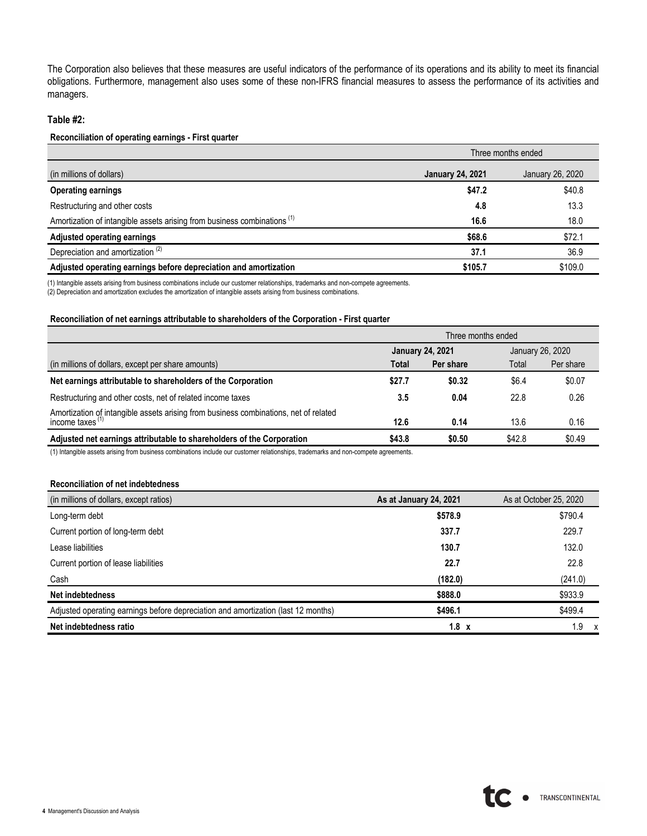The Corporation also believes that these measures are useful indicators of the performance of its operations and its ability to meet its financial obligations. Furthermore, management also uses some of these non-IFRS financial measures to assess the performance of its activities and managers.

#### **Table #2:**

#### **Reconciliation of operating earnings - First quarter**

|                                                                                     |                                             | Three months ended |  |  |  |
|-------------------------------------------------------------------------------------|---------------------------------------------|--------------------|--|--|--|
| (in millions of dollars)                                                            | <b>January 24, 2021</b><br>January 26, 2020 |                    |  |  |  |
| <b>Operating earnings</b>                                                           | \$47.2                                      | \$40.8             |  |  |  |
| Restructuring and other costs                                                       | 4.8                                         | 13.3               |  |  |  |
| Amortization of intangible assets arising from business combinations <sup>(1)</sup> | 16.6                                        | 18.0               |  |  |  |
| Adjusted operating earnings                                                         | \$68.6                                      | \$72.1             |  |  |  |
| Depreciation and amortization <sup>(2)</sup>                                        | 37.1                                        | 36.9               |  |  |  |
| Adjusted operating earnings before depreciation and amortization                    | \$105.7                                     | \$109.0            |  |  |  |

(1) Intangible assets arising from business combinations include our customer relationships, trademarks and non-compete agreements.

(2) Depreciation and amortization excludes the amortization of intangible assets arising from business combinations.

### **Reconciliation of net earnings attributable to shareholders of the Corporation - First quarter**

|                                                                                                            | Three months ended |                         |        |                  |  |  |  |
|------------------------------------------------------------------------------------------------------------|--------------------|-------------------------|--------|------------------|--|--|--|
|                                                                                                            |                    | <b>January 24, 2021</b> |        | January 26, 2020 |  |  |  |
| (in millions of dollars, except per share amounts)                                                         | Total              | Per share               | Total  | Per share        |  |  |  |
| Net earnings attributable to shareholders of the Corporation                                               | \$27.7             | \$0.32                  | \$6.4  | \$0.07           |  |  |  |
| Restructuring and other costs, net of related income taxes                                                 | 3.5                | 0.04                    | 22.8   | 0.26             |  |  |  |
| Amortization of intangible assets arising from business combinations, net of related<br>income taxes $(1)$ | 12.6               | 0.14                    | 13.6   | 0.16             |  |  |  |
| Adjusted net earnings attributable to shareholders of the Corporation                                      | \$43.8             | \$0.50                  | \$42.8 | \$0.49           |  |  |  |

(1) Intangible assets arising from business combinations include our customer relationships, trademarks and non-compete agreements.

#### **Reconciliation of net indebtedness**

| (in millions of dollars, except ratios)                                           | As at January 24, 2021 | As at October 25, 2020 |
|-----------------------------------------------------------------------------------|------------------------|------------------------|
| Long-term debt                                                                    | \$578.9                | \$790.4                |
| Current portion of long-term debt                                                 | 337.7                  | 229.7                  |
| Lease liabilities                                                                 | 130.7                  | 132.0                  |
| Current portion of lease liabilities                                              | 22.7                   | 22.8                   |
| Cash                                                                              | (182.0)                | (241.0)                |
| Net indebtedness                                                                  | \$888.0                | \$933.9                |
| Adjusted operating earnings before depreciation and amortization (last 12 months) | \$496.1                | \$499.4                |
| Net indebtedness ratio                                                            | $1.8 \times$           | 1.9<br>$\mathsf{x}$    |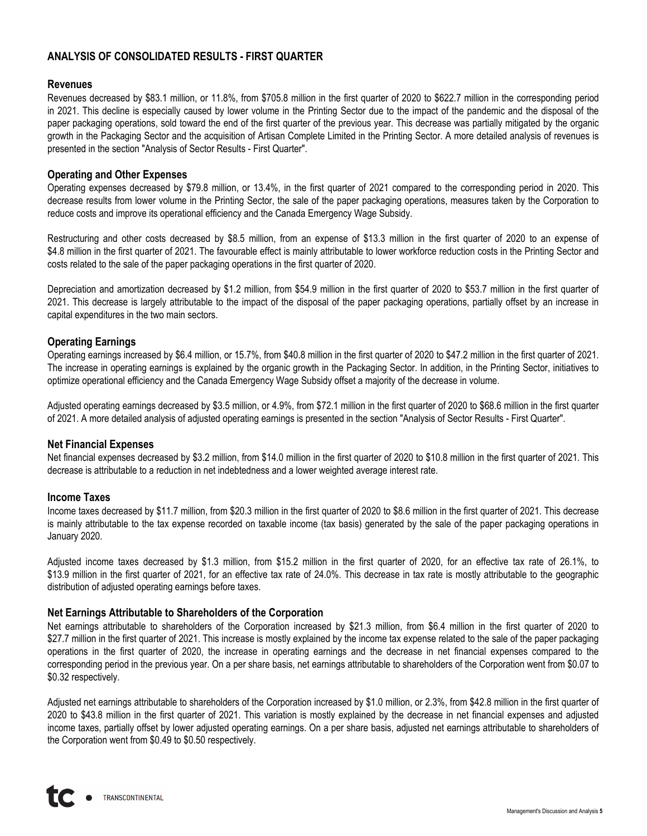## **ANALYSIS OF CONSOLIDATED RESULTS - FIRST QUARTER**

### **Revenues**

Revenues decreased by \$83.1 million, or 11.8%, from \$705.8 million in the first quarter of 2020 to \$622.7 million in the corresponding period in 2021. This decline is especially caused by lower volume in the Printing Sector due to the impact of the pandemic and the disposal of the paper packaging operations, sold toward the end of the first quarter of the previous year. This decrease was partially mitigated by the organic growth in the Packaging Sector and the acquisition of Artisan Complete Limited in the Printing Sector. A more detailed analysis of revenues is presented in the section "Analysis of Sector Results - First Quarter".

### **Operating and Other Expenses**

Operating expenses decreased by \$79.8 million, or 13.4%, in the first quarter of 2021 compared to the corresponding period in 2020. This decrease results from lower volume in the Printing Sector, the sale of the paper packaging operations, measures taken by the Corporation to reduce costs and improve its operational efficiency and the Canada Emergency Wage Subsidy.

Restructuring and other costs decreased by \$8.5 million, from an expense of \$13.3 million in the first quarter of 2020 to an expense of \$4.8 million in the first quarter of 2021. The favourable effect is mainly attributable to lower workforce reduction costs in the Printing Sector and costs related to the sale of the paper packaging operations in the first quarter of 2020.

Depreciation and amortization decreased by \$1.2 million, from \$54.9 million in the first quarter of 2020 to \$53.7 million in the first quarter of 2021. This decrease is largely attributable to the impact of the disposal of the paper packaging operations, partially offset by an increase in capital expenditures in the two main sectors.

### **Operating Earnings**

Operating earnings increased by \$6.4 million, or 15.7%, from \$40.8 million in the first quarter of 2020 to \$47.2 million in the first quarter of 2021. The increase in operating earnings is explained by the organic growth in the Packaging Sector. In addition, in the Printing Sector, initiatives to optimize operational efficiency and the Canada Emergency Wage Subsidy offset a majority of the decrease in volume.

Adjusted operating earnings decreased by \$3.5 million, or 4.9%, from \$72.1 million in the first quarter of 2020 to \$68.6 million in the first quarter of 2021. A more detailed analysis of adjusted operating earnings is presented in the section "Analysis of Sector Results - First Quarter".

### **Net Financial Expenses**

Net financial expenses decreased by \$3.2 million, from \$14.0 million in the first quarter of 2020 to \$10.8 million in the first quarter of 2021. This decrease is attributable to a reduction in net indebtedness and a lower weighted average interest rate.

### **Income Taxes**

Income taxes decreased by \$11.7 million, from \$20.3 million in the first quarter of 2020 to \$8.6 million in the first quarter of 2021. This decrease is mainly attributable to the tax expense recorded on taxable income (tax basis) generated by the sale of the paper packaging operations in January 2020.

Adjusted income taxes decreased by \$1.3 million, from \$15.2 million in the first quarter of 2020, for an effective tax rate of 26.1%, to \$13.9 million in the first quarter of 2021, for an effective tax rate of 24.0%. This decrease in tax rate is mostly attributable to the geographic distribution of adjusted operating earnings before taxes.

### **Net Earnings Attributable to Shareholders of the Corporation**

Net earnings attributable to shareholders of the Corporation increased by \$21.3 million, from \$6.4 million in the first quarter of 2020 to \$27.7 million in the first quarter of 2021. This increase is mostly explained by the income tax expense related to the sale of the paper packaging operations in the first quarter of 2020, the increase in operating earnings and the decrease in net financial expenses compared to the corresponding period in the previous year. On a per share basis, net earnings attributable to shareholders of the Corporation went from \$0.07 to \$0.32 respectively.

Adjusted net earnings attributable to shareholders of the Corporation increased by \$1.0 million, or 2.3%, from \$42.8 million in the first quarter of 2020 to \$43.8 million in the first quarter of 2021. This variation is mostly explained by the decrease in net financial expenses and adjusted income taxes, partially offset by lower adjusted operating earnings. On a per share basis, adjusted net earnings attributable to shareholders of the Corporation went from \$0.49 to \$0.50 respectively.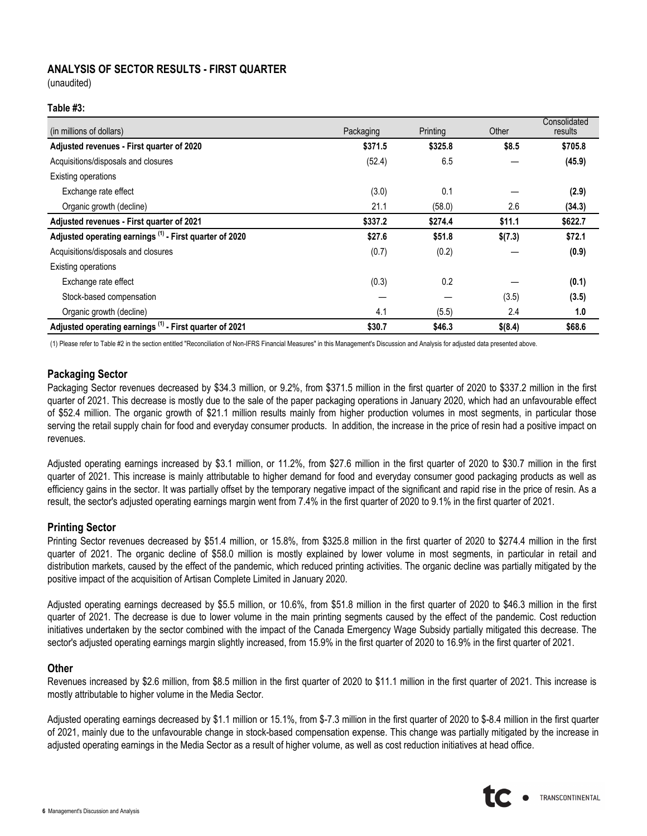### **ANALYSIS OF SECTOR RESULTS - FIRST QUARTER**

(unaudited)

### **Table #3:**

| (in millions of dollars)                                           | Packaging | Printing | Other   | Consolidated<br>results |
|--------------------------------------------------------------------|-----------|----------|---------|-------------------------|
| Adjusted revenues - First quarter of 2020                          | \$371.5   | \$325.8  | \$8.5   | \$705.8                 |
| Acquisitions/disposals and closures                                | (52.4)    | 6.5      |         | (45.9)                  |
| Existing operations                                                |           |          |         |                         |
| Exchange rate effect                                               | (3.0)     | 0.1      |         | (2.9)                   |
| Organic growth (decline)                                           | 21.1      | (58.0)   | 2.6     | (34.3)                  |
| Adjusted revenues - First quarter of 2021                          | \$337.2   | \$274.4  | \$11.1  | \$622.7                 |
| Adjusted operating earnings <sup>(1)</sup> - First quarter of 2020 | \$27.6    | \$51.8   | \$(7.3) | \$72.1                  |
| Acquisitions/disposals and closures                                | (0.7)     | (0.2)    |         | (0.9)                   |
| Existing operations                                                |           |          |         |                         |
| Exchange rate effect                                               | (0.3)     | 0.2      |         | (0.1)                   |
| Stock-based compensation                                           |           |          | (3.5)   | (3.5)                   |
| Organic growth (decline)                                           | 4.1       | (5.5)    | 2.4     | 1.0                     |
| Adjusted operating earnings <sup>(1)</sup> - First quarter of 2021 | \$30.7    | \$46.3   | \$(8.4) | \$68.6                  |

(1) Please refer to Table #2 in the section entitled "Reconciliation of Non-IFRS Financial Measures" in this Management's Discussion and Analysis for adjusted data presented above.

### **Packaging Sector**

Packaging Sector revenues decreased by \$34.3 million, or 9.2%, from \$371.5 million in the first quarter of 2020 to \$337.2 million in the first quarter of 2021. This decrease is mostly due to the sale of the paper packaging operations in January 2020, which had an unfavourable effect of \$52.4 million. The organic growth of \$21.1 million results mainly from higher production volumes in most segments, in particular those serving the retail supply chain for food and everyday consumer products. In addition, the increase in the price of resin had a positive impact on revenues.

Adjusted operating earnings increased by \$3.1 million, or 11.2%, from \$27.6 million in the first quarter of 2020 to \$30.7 million in the first quarter of 2021. This increase is mainly attributable to higher demand for food and everyday consumer good packaging products as well as efficiency gains in the sector. It was partially offset by the temporary negative impact of the significant and rapid rise in the price of resin. As a result, the sector's adjusted operating earnings margin went from 7.4% in the first quarter of 2020 to 9.1% in the first quarter of 2021.

### **Printing Sector**

Printing Sector revenues decreased by \$51.4 million, or 15.8%, from \$325.8 million in the first quarter of 2020 to \$274.4 million in the first quarter of 2021. The organic decline of \$58.0 million is mostly explained by lower volume in most segments, in particular in retail and distribution markets, caused by the effect of the pandemic, which reduced printing activities. The organic decline was partially mitigated by the positive impact of the acquisition of Artisan Complete Limited in January 2020.

Adjusted operating earnings decreased by \$5.5 million, or 10.6%, from \$51.8 million in the first quarter of 2020 to \$46.3 million in the first quarter of 2021. The decrease is due to lower volume in the main printing segments caused by the effect of the pandemic. Cost reduction initiatives undertaken by the sector combined with the impact of the Canada Emergency Wage Subsidy partially mitigated this decrease. The sector's adjusted operating earnings margin slightly increased, from 15.9% in the first quarter of 2020 to 16.9% in the first quarter of 2021.

### **Other**

Revenues increased by \$2.6 million, from \$8.5 million in the first quarter of 2020 to \$11.1 million in the first quarter of 2021. This increase is mostly attributable to higher volume in the Media Sector.

Adjusted operating earnings decreased by \$1.1 million or 15.1%, from \$-7.3 million in the first quarter of 2020 to \$-8.4 million in the first quarter of 2021, mainly due to the unfavourable change in stock-based compensation expense. This change was partially mitigated by the increase in adjusted operating earnings in the Media Sector as a result of higher volume, as well as cost reduction initiatives at head office.

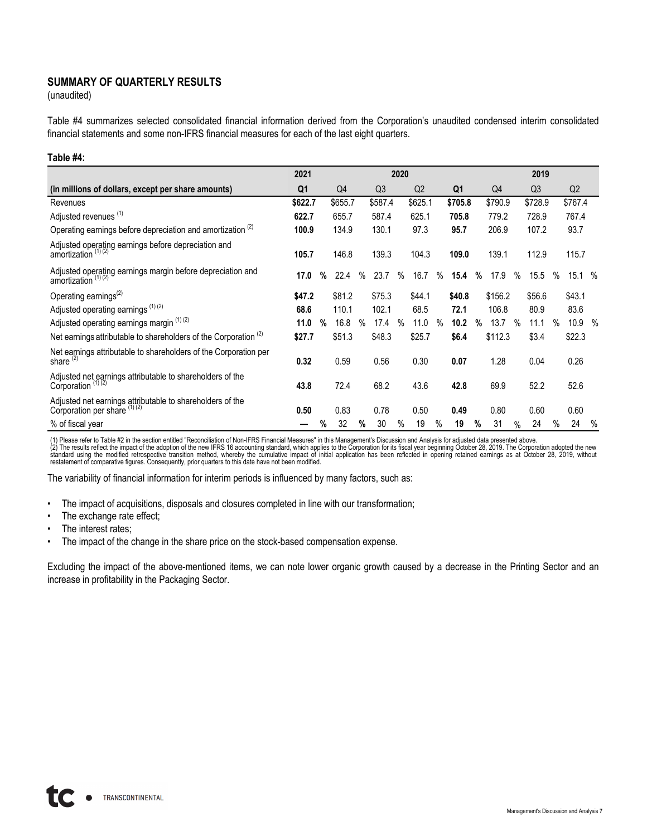## **SUMMARY OF QUARTERLY RESULTS**

(unaudited)

Table #4 summarizes selected consolidated financial information derived from the Corporation's unaudited condensed interim consolidated financial statements and some non-IFRS financial measures for each of the last eight quarters.

### **Table #4:**

|                                                                                                | 2021           |   | 2020           |               |                |               |         | 2019 |                |   |         |      |                |               |         |               |
|------------------------------------------------------------------------------------------------|----------------|---|----------------|---------------|----------------|---------------|---------|------|----------------|---|---------|------|----------------|---------------|---------|---------------|
| (in millions of dollars, except per share amounts)                                             | Q <sub>1</sub> |   | Q <sub>4</sub> |               | Q <sub>3</sub> |               | Q2      |      | Q <sub>1</sub> |   | Q4      |      | Q <sub>3</sub> |               | Q2      |               |
| Revenues                                                                                       | \$622.7        |   | \$655.7        |               | \$587.4        |               | \$625.1 |      | \$705.8        |   | \$790.9 |      | \$728.9        |               | \$767.4 |               |
| Adjusted revenues <sup>(1)</sup>                                                               | 622.7          |   | 655.7          |               | 587.4          |               | 625.1   |      | 705.8          |   | 779.2   |      | 728.9          |               | 767.4   |               |
| Operating earnings before depreciation and amortization <sup>(2)</sup>                         | 100.9          |   | 134.9          |               | 130.1          |               | 97.3    |      | 95.7           |   | 206.9   |      | 107.2          |               | 93.7    |               |
| Adjusted operating earnings before depreciation and<br>amortization (1) (2)                    | 105.7          |   | 146.8          |               | 139.3          |               | 104.3   |      | 109.0          |   | 139.1   |      | 112.9          |               | 115.7   |               |
| Adjusted operating earnings margin before depreciation and<br>amortization $(1)(2)$            | 17.0           | % | 22.4           | $\%$          | 23.7           | $\%$          | 16.7    | $\%$ | 15.4           | % | 17.9    | $\%$ | 15.5           | $\%$          | 15.1%   |               |
| Operating earnings <sup>(2)</sup>                                                              | \$47.2         |   | \$81.2         |               | \$75.3         |               | \$44.1  |      | \$40.8         |   | \$156.2 |      | \$56.6         |               | \$43.1  |               |
| Adjusted operating earnings <sup>(1)(2)</sup>                                                  | 68.6           |   | 110.1          |               | 102.1          |               | 68.5    |      | 72.1           |   | 106.8   |      | 80.9           |               | 83.6    |               |
| Adjusted operating earnings margin (1) (2)                                                     | 11.0           | % | 16.8           | $\frac{0}{0}$ | 17.4           | $\frac{0}{0}$ | 11.0    | %    | 10.2           | % | 13.7    | %    | 11.1           | $\frac{0}{0}$ | 10.9    | $\frac{0}{0}$ |
| Net earnings attributable to shareholders of the Corporation $(2)$                             | \$27.7         |   | \$51.3         |               | \$48.3         |               | \$25.7  |      | \$6.4          |   | \$112.3 |      | \$3.4          |               | \$22.3  |               |
| Net earnings attributable to shareholders of the Corporation per<br>share <sup>(2)</sup>       | 0.32           |   | 0.59           |               | 0.56           |               | 0.30    |      | 0.07           |   | 1.28    |      | 0.04           |               | 0.26    |               |
| Adjusted net earnings attributable to shareholders of the<br>Corporation $(1)$ $(2)$           | 43.8           |   | 72.4           |               | 68.2           |               | 43.6    |      | 42.8           |   | 69.9    |      | 52.2           |               | 52.6    |               |
| Adjusted net earnings attributable to shareholders of the<br>Corporation per share $^{(1)(2)}$ | 0.50           |   | 0.83           |               | 0.78           |               | 0.50    |      | 0.49           |   | 0.80    |      | 0.60           |               | 0.60    |               |
| % of fiscal year                                                                               |                | % | 32             | %             | 30             | $\%$          | 19      | $\%$ | 19             | % | 31      | $\%$ | 24             | $\%$          | 24      | $\%$          |

(1) Please refer to Table #2 in the section entitled "Reconciliation of Non-IFRS Financial Measures" in this Management's Discussion and Analysis for adjusted data presented above.<br>(2) The results reflect the impact of the

The variability of financial information for interim periods is influenced by many factors, such as:

- The impact of acquisitions, disposals and closures completed in line with our transformation;
- The exchange rate effect;
- The interest rates;
- The impact of the change in the share price on the stock-based compensation expense.

Excluding the impact of the above-mentioned items, we can note lower organic growth caused by a decrease in the Printing Sector and an increase in profitability in the Packaging Sector.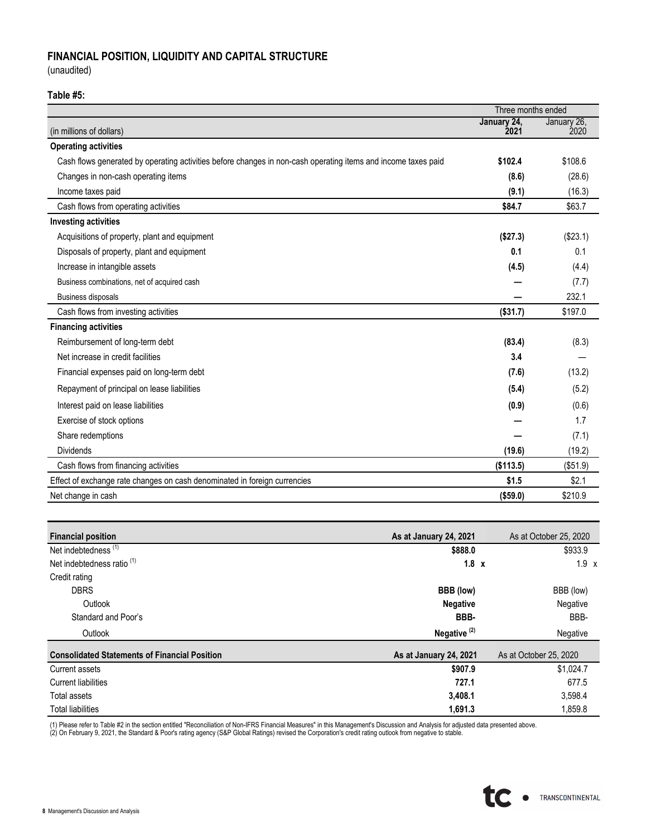## **FINANCIAL POSITION, LIQUIDITY AND CAPITAL STRUCTURE**

(unaudited)

### **Table #5:**

|                                                                                                               | Three months ended  |                     |
|---------------------------------------------------------------------------------------------------------------|---------------------|---------------------|
| (in millions of dollars)                                                                                      | January 24,<br>2021 | January 26,<br>2020 |
| <b>Operating activities</b>                                                                                   |                     |                     |
| Cash flows generated by operating activities before changes in non-cash operating items and income taxes paid | \$102.4             | \$108.6             |
| Changes in non-cash operating items                                                                           | (8.6)               | (28.6)              |
| Income taxes paid                                                                                             | (9.1)               | (16.3)              |
| Cash flows from operating activities                                                                          | \$84.7              | \$63.7              |
| <b>Investing activities</b>                                                                                   |                     |                     |
| Acquisitions of property, plant and equipment                                                                 | (\$27.3)            | (\$23.1)            |
| Disposals of property, plant and equipment                                                                    | 0.1                 | 0.1                 |
| Increase in intangible assets                                                                                 | (4.5)               | (4.4)               |
| Business combinations, net of acquired cash                                                                   |                     | (7.7)               |
| <b>Business disposals</b>                                                                                     |                     | 232.1               |
| Cash flows from investing activities                                                                          | (\$31.7)            | \$197.0             |
| <b>Financing activities</b>                                                                                   |                     |                     |
| Reimbursement of long-term debt                                                                               | (83.4)              | (8.3)               |
| Net increase in credit facilities                                                                             | 3.4                 |                     |
| Financial expenses paid on long-term debt                                                                     | (7.6)               | (13.2)              |
| Repayment of principal on lease liabilities                                                                   | (5.4)               | (5.2)               |
| Interest paid on lease liabilities                                                                            | (0.9)               | (0.6)               |
| Exercise of stock options                                                                                     |                     | 1.7                 |
| Share redemptions                                                                                             |                     | (7.1)               |
| <b>Dividends</b>                                                                                              | (19.6)              | (19.2)              |
| Cash flows from financing activities                                                                          | (\$113.5)           | (\$51.9)            |
| Effect of exchange rate changes on cash denominated in foreign currencies                                     | \$1.5               | \$2.1               |
| Net change in cash                                                                                            | (\$59.0)            | \$210.9             |

| <b>Financial position</b>                            | As at January 24, 2021  | As at October 25, 2020 |
|------------------------------------------------------|-------------------------|------------------------|
| Net indebtedness <sup>(1)</sup>                      | \$888.0                 | \$933.9                |
| Net indebtedness ratio <sup>(1)</sup>                | $1.8 \times$            | $1.9 \times$           |
| Credit rating                                        |                         |                        |
| <b>DBRS</b>                                          | BBB (low)               | BBB (low)              |
| Outlook                                              | <b>Negative</b>         | Negative               |
| Standard and Poor's                                  | BBB-                    | BBB-                   |
| Outlook                                              | Negative <sup>(2)</sup> | Negative               |
| <b>Consolidated Statements of Financial Position</b> | As at January 24, 2021  | As at October 25, 2020 |
| Current assets                                       | \$907.9                 | \$1.024.7              |
| Current liabilities                                  | 727.1                   | 677.5                  |
| Total assets                                         | 3,408.1                 | 3,598.4                |
| <b>Total liabilities</b>                             | 1,691.3                 | 1,859.8                |

(1) Please refer to Table #2 in the section entitled "Reconciliation of Non-IFRS Financial Measures" in this Management's Discussion and Analysis for adjusted data presented above.<br>(2) On February 9, 2021, the Standard & P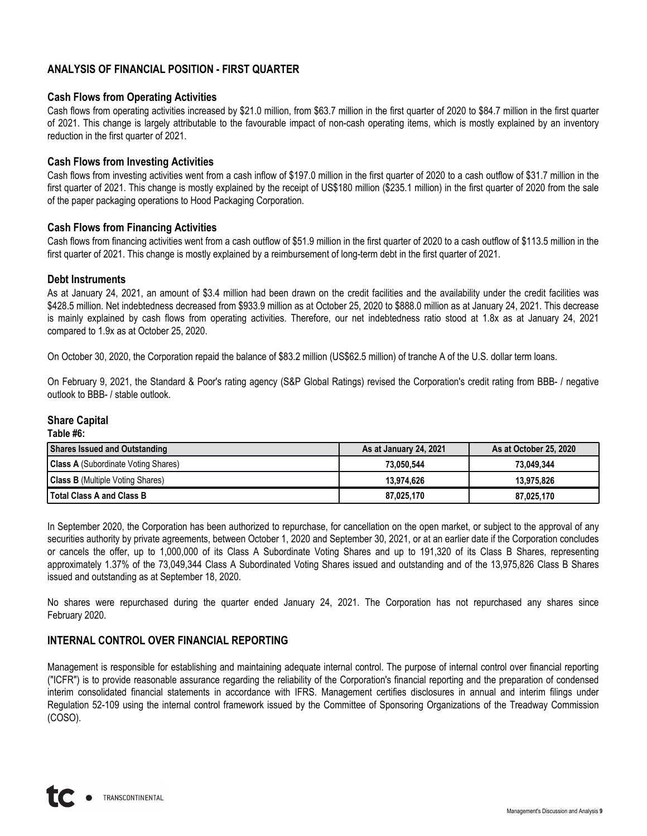## **ANALYSIS OF FINANCIAL POSITION - FIRST QUARTER**

### **Cash Flows from Operating Activities**

Cash flows from operating activities increased by \$21.0 million, from \$63.7 million in the first quarter of 2020 to \$84.7 million in the first quarter of 2021. This change is largely attributable to the favourable impact of non-cash operating items, which is mostly explained by an inventory reduction in the first quarter of 2021.

### **Cash Flows from Investing Activities**

Cash flows from investing activities went from a cash inflow of \$197.0 million in the first quarter of 2020 to a cash outflow of \$31.7 million in the first quarter of 2021. This change is mostly explained by the receipt of US\$180 million (\$235.1 million) in the first quarter of 2020 from the sale of the paper packaging operations to Hood Packaging Corporation.

### **Cash Flows from Financing Activities**

Cash flows from financing activities went from a cash outflow of \$51.9 million in the first quarter of 2020 to a cash outflow of \$113.5 million in the first quarter of 2021. This change is mostly explained by a reimbursement of long-term debt in the first quarter of 2021.

### **Debt Instruments**

As at January 24, 2021, an amount of \$3.4 million had been drawn on the credit facilities and the availability under the credit facilities was \$428.5 million. Net indebtedness decreased from \$933.9 million as at October 25, 2020 to \$888.0 million as at January 24, 2021. This decrease is mainly explained by cash flows from operating activities. Therefore, our net indebtedness ratio stood at 1.8x as at January 24, 2021 compared to 1.9x as at October 25, 2020.

On October 30, 2020, the Corporation repaid the balance of \$83.2 million (US\$62.5 million) of tranche A of the U.S. dollar term loans.

On February 9, 2021, the Standard & Poor's rating agency (S&P Global Ratings) revised the Corporation's credit rating from BBB- / negative outlook to BBB- / stable outlook.

### **Share Capital**

**Table #6:**

| Shares Issued and Outstanding              | As at January 24, 2021 | As at October 25, 2020 |  |  |  |  |
|--------------------------------------------|------------------------|------------------------|--|--|--|--|
| <b>Class A</b> (Subordinate Voting Shares) | 73.050.544             | 73.049.344             |  |  |  |  |
| <b>Class B</b> (Multiple Voting Shares)    | 13.974.626             | 13.975.826             |  |  |  |  |
| <b>Total Class A and Class B</b>           | 87.025.170             | 87.025.170             |  |  |  |  |

In September 2020, the Corporation has been authorized to repurchase, for cancellation on the open market, or subject to the approval of any securities authority by private agreements, between October 1, 2020 and September 30, 2021, or at an earlier date if the Corporation concludes or cancels the offer, up to 1,000,000 of its Class A Subordinate Voting Shares and up to 191,320 of its Class B Shares, representing approximately 1.37% of the 73,049,344 Class A Subordinated Voting Shares issued and outstanding and of the 13,975,826 Class B Shares issued and outstanding as at September 18, 2020.

No shares were repurchased during the quarter ended January 24, 2021. The Corporation has not repurchased any shares since February 2020.

## **INTERNAL CONTROL OVER FINANCIAL REPORTING**

Management is responsible for establishing and maintaining adequate internal control. The purpose of internal control over financial reporting ("ICFR") is to provide reasonable assurance regarding the reliability of the Corporation's financial reporting and the preparation of condensed interim consolidated financial statements in accordance with IFRS. Management certifies disclosures in annual and interim filings under Regulation 52-109 using the internal control framework issued by the Committee of Sponsoring Organizations of the Treadway Commission (COSO).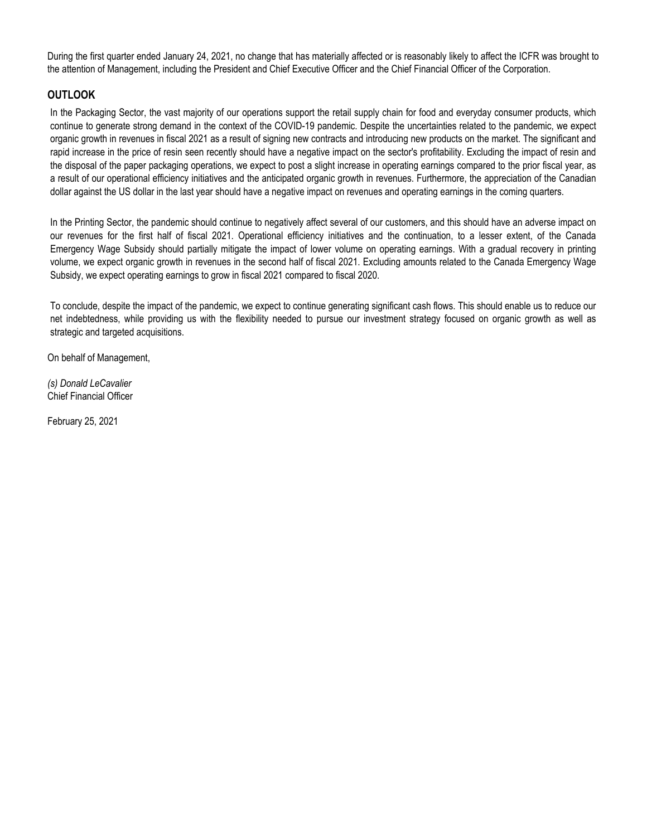During the first quarter ended January 24, 2021, no change that has materially affected or is reasonably likely to affect the ICFR was brought to the attention of Management, including the President and Chief Executive Officer and the Chief Financial Officer of the Corporation.

### **OUTLOOK**

In the Packaging Sector, the vast majority of our operations support the retail supply chain for food and everyday consumer products, which continue to generate strong demand in the context of the COVID-19 pandemic. Despite the uncertainties related to the pandemic, we expect organic growth in revenues in fiscal 2021 as a result of signing new contracts and introducing new products on the market. The significant and rapid increase in the price of resin seen recently should have a negative impact on the sector's profitability. Excluding the impact of resin and the disposal of the paper packaging operations, we expect to post a slight increase in operating earnings compared to the prior fiscal year, as a result of our operational efficiency initiatives and the anticipated organic growth in revenues. Furthermore, the appreciation of the Canadian dollar against the US dollar in the last year should have a negative impact on revenues and operating earnings in the coming quarters.

In the Printing Sector, the pandemic should continue to negatively affect several of our customers, and this should have an adverse impact on our revenues for the first half of fiscal 2021. Operational efficiency initiatives and the continuation, to a lesser extent, of the Canada Emergency Wage Subsidy should partially mitigate the impact of lower volume on operating earnings. With a gradual recovery in printing volume, we expect organic growth in revenues in the second half of fiscal 2021. Excluding amounts related to the Canada Emergency Wage Subsidy, we expect operating earnings to grow in fiscal 2021 compared to fiscal 2020.

To conclude, despite the impact of the pandemic, we expect to continue generating significant cash flows. This should enable us to reduce our net indebtedness, while providing us with the flexibility needed to pursue our investment strategy focused on organic growth as well as strategic and targeted acquisitions.

On behalf of Management,

*(s) Donald LeCavalier* Chief Financial Officer

February 25, 2021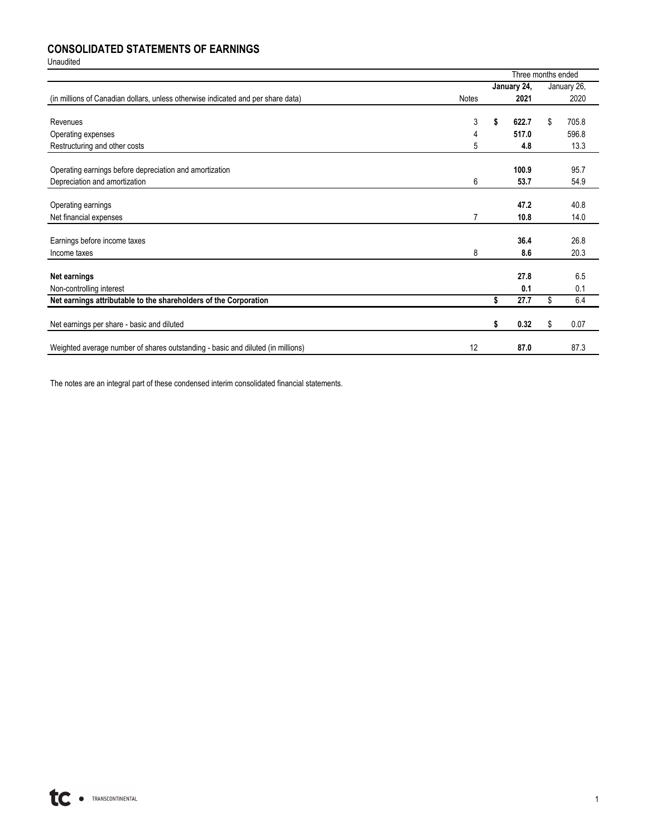## **CONSOLIDATED STATEMENTS OF EARNINGS**

Unaudited

|                                                                                  |                | Three months ended |    |             |
|----------------------------------------------------------------------------------|----------------|--------------------|----|-------------|
|                                                                                  |                | January 24,        |    | January 26, |
| (in millions of Canadian dollars, unless otherwise indicated and per share data) | Notes          | 2021               |    | 2020        |
|                                                                                  |                |                    |    |             |
| Revenues                                                                         | 3              | \$<br>622.7        | \$ | 705.8       |
| Operating expenses                                                               | 4              | 517.0              |    | 596.8       |
| Restructuring and other costs                                                    | 5              | 4.8                |    | 13.3        |
|                                                                                  |                |                    |    |             |
| Operating earnings before depreciation and amortization                          |                | 100.9              |    | 95.7        |
| Depreciation and amortization                                                    | 6              | 53.7               |    | 54.9        |
|                                                                                  |                |                    |    |             |
| Operating earnings                                                               |                | 47.2               |    | 40.8        |
| Net financial expenses                                                           | $\overline{7}$ | 10.8               |    | 14.0        |
|                                                                                  |                |                    |    |             |
| Earnings before income taxes                                                     |                | 36.4               |    | 26.8        |
| Income taxes                                                                     | 8              | 8.6                |    | 20.3        |
|                                                                                  |                |                    |    |             |
| Net earnings                                                                     |                | 27.8               |    | 6.5         |
| Non-controlling interest                                                         |                | 0.1                |    | 0.1         |
| Net earnings attributable to the shareholders of the Corporation                 |                | \$<br>27.7         | \$ | 6.4         |
|                                                                                  |                |                    |    |             |
| Net earnings per share - basic and diluted                                       |                | \$<br>0.32         | \$ | 0.07        |
|                                                                                  |                |                    |    |             |
| Weighted average number of shares outstanding - basic and diluted (in millions)  | 12             | 87.0               |    | 87.3        |

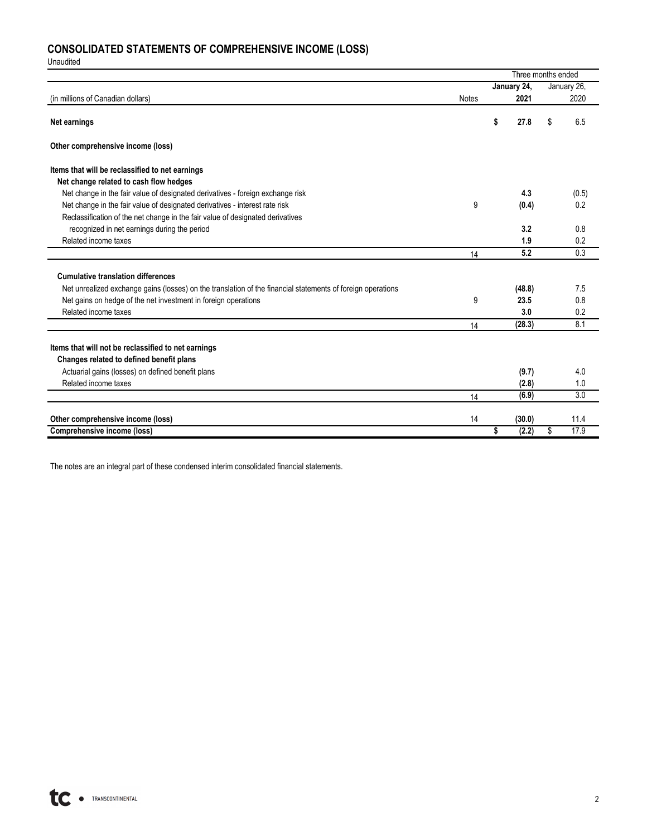# **CONSOLIDATED STATEMENTS OF COMPREHENSIVE INCOME (LOSS)**

Unaudited

|                                                                                                             |              |             | Three months ended |
|-------------------------------------------------------------------------------------------------------------|--------------|-------------|--------------------|
|                                                                                                             |              | January 24, | January 26,        |
| (in millions of Canadian dollars)                                                                           | <b>Notes</b> | 2021        | 2020               |
| Net earnings                                                                                                |              | \$<br>27.8  | \$<br>6.5          |
| Other comprehensive income (loss)                                                                           |              |             |                    |
| Items that will be reclassified to net earnings                                                             |              |             |                    |
| Net change related to cash flow hedges                                                                      |              |             |                    |
| Net change in the fair value of designated derivatives - foreign exchange risk                              |              | 4.3         | (0.5)              |
| Net change in the fair value of designated derivatives - interest rate risk                                 | 9            | (0.4)       | 0.2                |
| Reclassification of the net change in the fair value of designated derivatives                              |              |             |                    |
| recognized in net earnings during the period                                                                |              | 3.2         | 0.8                |
| Related income taxes                                                                                        |              | 1.9         | 0.2                |
|                                                                                                             | 14           | 5.2         | 0.3                |
|                                                                                                             |              |             |                    |
| <b>Cumulative translation differences</b>                                                                   |              |             |                    |
| Net unrealized exchange gains (losses) on the translation of the financial statements of foreign operations |              | (48.8)      | 7.5                |
| Net gains on hedge of the net investment in foreign operations                                              | 9            | 23.5        | 0.8                |
| Related income taxes                                                                                        |              | 3.0         | 0.2                |
|                                                                                                             | 14           | (28.3)      | 8.1                |
|                                                                                                             |              |             |                    |
| Items that will not be reclassified to net earnings                                                         |              |             |                    |
| Changes related to defined benefit plans                                                                    |              |             |                    |
| Actuarial gains (losses) on defined benefit plans                                                           |              | (9.7)       | 4.0                |
| Related income taxes                                                                                        |              | (2.8)       | 1.0                |
|                                                                                                             | 14           | (6.9)       | 3.0                |
| Other comprehensive income (loss)                                                                           | 14           | (30.0)      | 11.4               |
|                                                                                                             |              | Ŝ           | 17.9               |
| Comprehensive income (loss)                                                                                 |              | (2.2)       | \$                 |

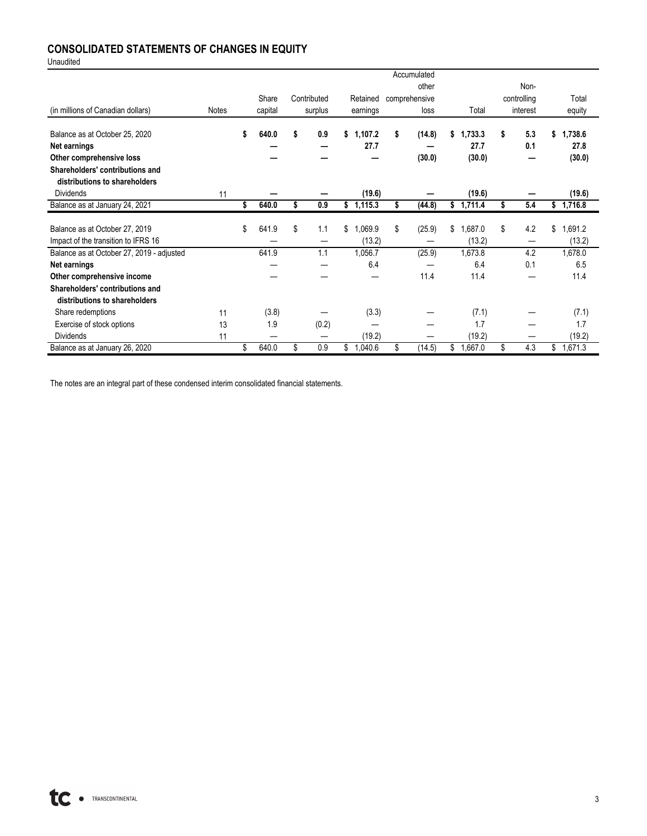## **CONSOLIDATED STATEMENTS OF CHANGES IN EQUITY**

Unaudited

|                                           |              |             |             |               |    | Accumulated   |               |    |             |               |
|-------------------------------------------|--------------|-------------|-------------|---------------|----|---------------|---------------|----|-------------|---------------|
|                                           |              |             |             |               |    | other         |               |    | Non-        |               |
|                                           |              | Share       | Contributed | Retained      |    | comprehensive |               |    | controlling | Total         |
| (in millions of Canadian dollars)         | <b>Notes</b> | capital     | surplus     | earnings      |    | loss          | Total         |    | interest    | equity        |
|                                           |              |             |             |               |    |               |               |    |             |               |
| Balance as at October 25, 2020            |              | 640.0       | \$<br>0.9   | \$<br>1,107.2 | S  | (14.8)        | 1.733.3       | \$ | 5.3         | \$<br>1,738.6 |
| Net earnings                              |              |             |             | 27.7          |    |               | 27.7          |    | 0.1         | 27.8          |
| Other comprehensive loss                  |              |             |             |               |    | (30.0)        | (30.0)        |    |             | (30.0)        |
| Shareholders' contributions and           |              |             |             |               |    |               |               |    |             |               |
| distributions to shareholders             |              |             |             |               |    |               |               |    |             |               |
| Dividends                                 | 11           |             |             | (19.6)        |    |               | (19.6)        |    |             | (19.6)        |
| Balance as at January 24, 2021            |              | \$<br>640.0 | \$<br>0.9   | \$1,115.3     | \$ | (44.8)        | \$<br>1,711.4 | Ŝ  | 5.4         | \$1,716.8     |
|                                           |              |             |             |               |    |               |               |    |             |               |
| Balance as at October 27, 2019            |              | \$<br>641.9 | \$<br>1.1   | \$<br>1,069.9 | \$ | (25.9)        | \$<br>.687.0  | \$ | 4.2         | \$<br>1,691.2 |
| Impact of the transition to IFRS 16       |              |             |             | (13.2)        |    |               | (13.2)        |    | —           | (13.2)        |
| Balance as at October 27, 2019 - adjusted |              | 641.9       | 1.1         | 1,056.7       |    | (25.9)        | 1,673.8       |    | 4.2         | 1,678.0       |
| Net earnings                              |              |             |             | 6.4           |    |               | 6.4           |    | 0.1         | 6.5           |
| Other comprehensive income                |              |             |             |               |    | 11.4          | 11.4          |    |             | 11.4          |
| Shareholders' contributions and           |              |             |             |               |    |               |               |    |             |               |
| distributions to shareholders             |              |             |             |               |    |               |               |    |             |               |
| Share redemptions                         | 11           | (3.8)       |             | (3.3)         |    |               | (7.1)         |    |             | (7.1)         |
| Exercise of stock options                 | 13           | 1.9         | (0.2)       |               |    |               | 1.7           |    |             | 1.7           |
| <b>Dividends</b>                          | 11           |             |             | (19.2)        |    |               | (19.2)        |    |             | (19.2)        |
| Balance as at January 26, 2020            |              | \$<br>640.0 | \$<br>0.9   | \$<br>1,040.6 | \$ | (14.5)        | \$<br>1,667.0 | \$ | 4.3         | \$<br>1,671.3 |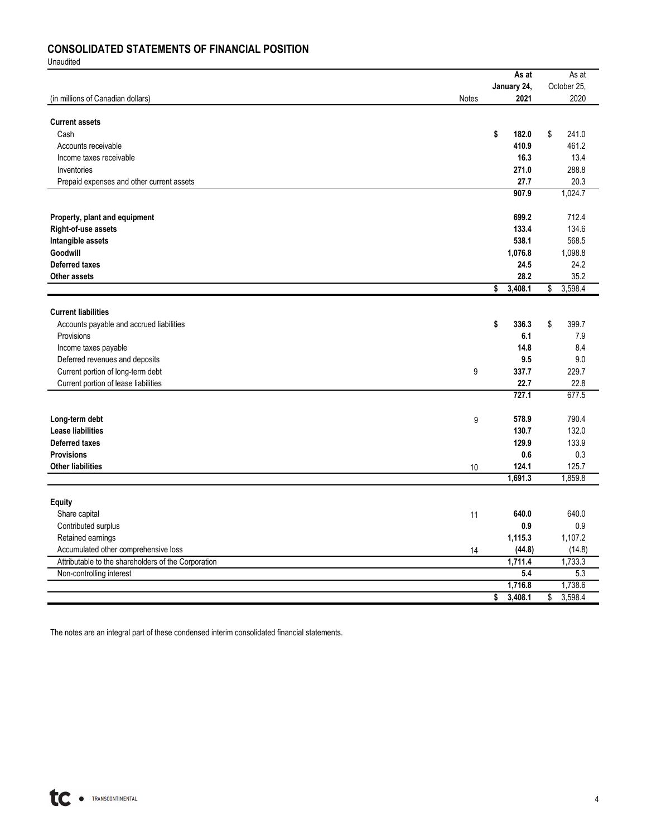## **CONSOLIDATED STATEMENTS OF FINANCIAL POSITION**

Unaudited

|                                                     |       | As at         | As at         |
|-----------------------------------------------------|-------|---------------|---------------|
|                                                     |       | January 24,   | October 25,   |
| (in millions of Canadian dollars)                   | Notes | 2021          | 2020          |
|                                                     |       |               |               |
| <b>Current assets</b>                               |       |               |               |
| Cash                                                |       | \$<br>182.0   | \$<br>241.0   |
| Accounts receivable                                 |       | 410.9         | 461.2         |
| Income taxes receivable                             |       | 16.3          | 13.4          |
| Inventories                                         |       | 271.0         | 288.8         |
| Prepaid expenses and other current assets           |       | 27.7          | 20.3          |
|                                                     |       | 907.9         | 1,024.7       |
|                                                     |       |               |               |
| Property, plant and equipment                       |       | 699.2         | 712.4         |
| Right-of-use assets                                 |       | 133.4         | 134.6         |
| Intangible assets                                   |       | 538.1         | 568.5         |
| Goodwill                                            |       | 1,076.8       | 1,098.8       |
| <b>Deferred taxes</b>                               |       | 24.5          | 24.2          |
| <b>Other assets</b>                                 |       | 28.2          | 35.2          |
|                                                     |       | \$<br>3,408.1 | 3,598.4<br>\$ |
|                                                     |       |               |               |
| <b>Current liabilities</b>                          |       |               |               |
| Accounts payable and accrued liabilities            |       | 336.3<br>\$   | \$<br>399.7   |
| Provisions                                          |       | 6.1           | 7.9           |
| Income taxes payable                                |       | 14.8          | 8.4           |
| Deferred revenues and deposits                      |       | 9.5           | 9.0           |
| Current portion of long-term debt                   | 9     | 337.7         | 229.7         |
| Current portion of lease liabilities                |       | 22.7          | 22.8          |
|                                                     |       | 727.1         | 677.5         |
|                                                     |       | 578.9         | 790.4         |
| Long-term debt<br><b>Lease liabilities</b>          | 9     | 130.7         | 132.0         |
| <b>Deferred taxes</b>                               |       | 129.9         | 133.9         |
| <b>Provisions</b>                                   |       | 0.6           | 0.3           |
| <b>Other liabilities</b>                            | 10    | 124.1         | 125.7         |
|                                                     |       | 1,691.3       | 1,859.8       |
|                                                     |       |               |               |
| <b>Equity</b>                                       |       |               |               |
| Share capital                                       | 11    | 640.0         | 640.0         |
| Contributed surplus                                 |       | 0.9           | 0.9           |
| Retained earnings                                   |       | 1,115.3       | 1,107.2       |
| Accumulated other comprehensive loss                | 14    | (44.8)        | (14.8)        |
| Attributable to the shareholders of the Corporation |       | 1,711.4       | 1,733.3       |
| Non-controlling interest                            |       | 5.4           | 5.3           |
|                                                     |       | 1,716.8       | 1,738.6       |
|                                                     |       | 3,408.1<br>\$ | 3,598.4<br>\$ |
|                                                     |       |               |               |

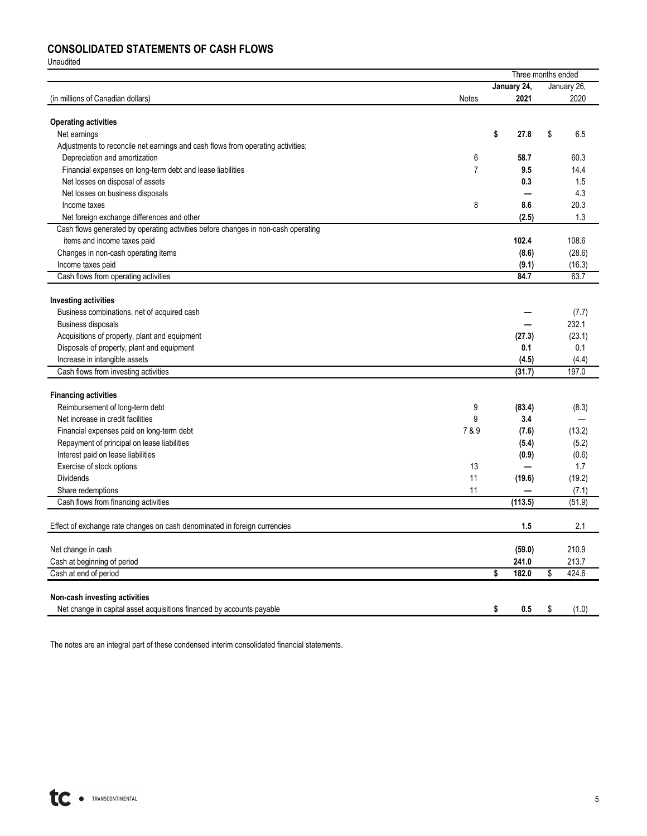## **CONSOLIDATED STATEMENTS OF CASH FLOWS**

Unaudited

|                                                                                   |                |             | Three months ended |
|-----------------------------------------------------------------------------------|----------------|-------------|--------------------|
|                                                                                   |                | January 24, | January 26,        |
| (in millions of Canadian dollars)                                                 | Notes          | 2021        | 2020               |
| <b>Operating activities</b>                                                       |                |             |                    |
| Net earnings                                                                      |                | \$<br>27.8  | \$<br>6.5          |
| Adjustments to reconcile net earnings and cash flows from operating activities:   |                |             |                    |
| Depreciation and amortization                                                     | 6              | 58.7        | 60.3               |
| Financial expenses on long-term debt and lease liabilities                        | $\overline{7}$ | 9.5         | 14.4               |
| Net losses on disposal of assets                                                  |                | 0.3         | 1.5                |
| Net losses on business disposals                                                  |                |             | 4.3                |
| Income taxes                                                                      | 8              | 8.6         | 20.3               |
| Net foreign exchange differences and other                                        |                | (2.5)       | 1.3                |
| Cash flows generated by operating activities before changes in non-cash operating |                |             |                    |
| items and income taxes paid                                                       |                | 102.4       | 108.6              |
| Changes in non-cash operating items                                               |                | (8.6)       | (28.6)             |
| Income taxes paid                                                                 |                | (9.1)       | (16.3)             |
| Cash flows from operating activities                                              |                | 84.7        | 63.7               |
|                                                                                   |                |             |                    |
| <b>Investing activities</b>                                                       |                |             |                    |
| Business combinations, net of acquired cash                                       |                |             | (7.7)              |
| Business disposals                                                                |                |             | 232.1              |
| Acquisitions of property, plant and equipment                                     |                | (27.3)      | (23.1)             |
| Disposals of property, plant and equipment                                        |                | 0.1         | 0.1                |
| Increase in intangible assets                                                     |                | (4.5)       | (4.4)              |
| Cash flows from investing activities                                              |                | (31.7)      | 197.0              |
| <b>Financing activities</b>                                                       |                |             |                    |
| Reimbursement of long-term debt                                                   | 9              | (83.4)      | (8.3)              |
| Net increase in credit facilities                                                 | 9              | 3.4         | -                  |
| Financial expenses paid on long-term debt                                         | 7&9            | (7.6)       | (13.2)             |
| Repayment of principal on lease liabilities                                       |                | (5.4)       | (5.2)              |
| Interest paid on lease liabilities                                                |                | (0.9)       | (0.6)              |
| Exercise of stock options                                                         | 13             |             | 1.7                |
| <b>Dividends</b>                                                                  | 11             | (19.6)      | (19.2)             |
| Share redemptions                                                                 | 11             |             | (7.1)              |
| Cash flows from financing activities                                              |                | (113.5)     | (51.9)             |
|                                                                                   |                |             |                    |
| Effect of exchange rate changes on cash denominated in foreign currencies         |                | 1.5         | 2.1                |
| Net change in cash                                                                |                | (59.0)      | 210.9              |
| Cash at beginning of period                                                       |                | 241.0       | 213.7              |
| Cash at end of period                                                             |                | \$<br>182.0 | 424.6<br>\$        |
|                                                                                   |                |             |                    |
| Non-cash investing activities                                                     |                |             |                    |
| Net change in capital asset acquisitions financed by accounts payable             |                | \$<br>0.5   | \$<br>(1.0)        |

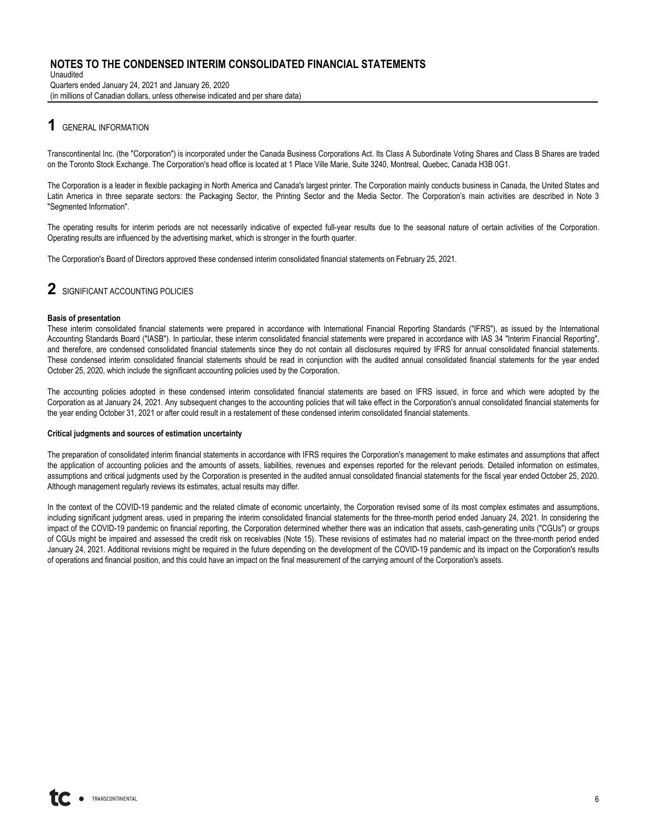Unaudited Quarters ended January 24, 2021 and January 26, 2020 (in millions of Canadian dollars, unless otherwise indicated and per share data)

## **1** GENERAL INFORMATION

Transcontinental Inc. (the "Corporation") is incorporated under the Canada Business Corporations Act. Its Class A Subordinate Voting Shares and Class B Shares are traded on the Toronto Stock Exchange. The Corporation's head office is located at 1 Place Ville Marie, Suite 3240, Montreal, Quebec, Canada H3B 0G1.

The Corporation is a leader in flexible packaging in North America and Canada's largest printer. The Corporation mainly conducts business in Canada, the United States and Latin America in three separate sectors: the Packaging Sector, the Printing Sector and the Media Sector. The Corporation's main activities are described in Note 3 "Segmented Information".

The operating results for interim periods are not necessarily indicative of expected full-year results due to the seasonal nature of certain activities of the Corporation. Operating results are influenced by the advertising market, which is stronger in the fourth quarter.

The Corporation's Board of Directors approved these condensed interim consolidated financial statements on February 25, 2021.

## **2** SIGNIFICANT ACCOUNTING POLICIES

#### **Basis of presentation**

These interim consolidated financial statements were prepared in accordance with International Financial Reporting Standards ("IFRS"), as issued by the International Accounting Standards Board ("IASB"). In particular, these interim consolidated financial statements were prepared in accordance with IAS 34 "Interim Financial Reporting", and therefore, are condensed consolidated financial statements since they do not contain all disclosures required by IFRS for annual consolidated financial statements. These condensed interim consolidated financial statements should be read in conjunction with the audited annual consolidated financial statements for the year ended October 25, 2020, which include the significant accounting policies used by the Corporation.

The accounting policies adopted in these condensed interim consolidated financial statements are based on IFRS issued, in force and which were adopted by the Corporation as at January 24, 2021. Any subsequent changes to the accounting policies that will take effect in the Corporation's annual consolidated financial statements for the year ending October 31, 2021 or after could result in a restatement of these condensed interim consolidated financial statements.

#### **Critical judgments and sources of estimation uncertainty**

The preparation of consolidated interim financial statements in accordance with IFRS requires the Corporation's management to make estimates and assumptions that affect the application of accounting policies and the amounts of assets, liabilities, revenues and expenses reported for the relevant periods. Detailed information on estimates, assumptions and critical judgments used by the Corporation is presented in the audited annual consolidated financial statements for the fiscal year ended October 25, 2020. Although management regularly reviews its estimates, actual results may differ.

In the context of the COVID-19 pandemic and the related climate of economic uncertainty, the Corporation revised some of its most complex estimates and assumptions, including significant judgment areas, used in preparing the interim consolidated financial statements for the three-month period ended January 24, 2021. In considering the impact of the COVID-19 pandemic on financial reporting, the Corporation determined whether there was an indication that assets, cash-generating units ("CGUs") or groups of CGUs might be impaired and assessed the credit risk on receivables (Note 15). These revisions of estimates had no material impact on the three-month period ended January 24, 2021. Additional revisions might be required in the future depending on the development of the COVID-19 pandemic and its impact on the Corporation's results of operations and financial position, and this could have an impact on the final measurement of the carrying amount of the Corporation's assets.

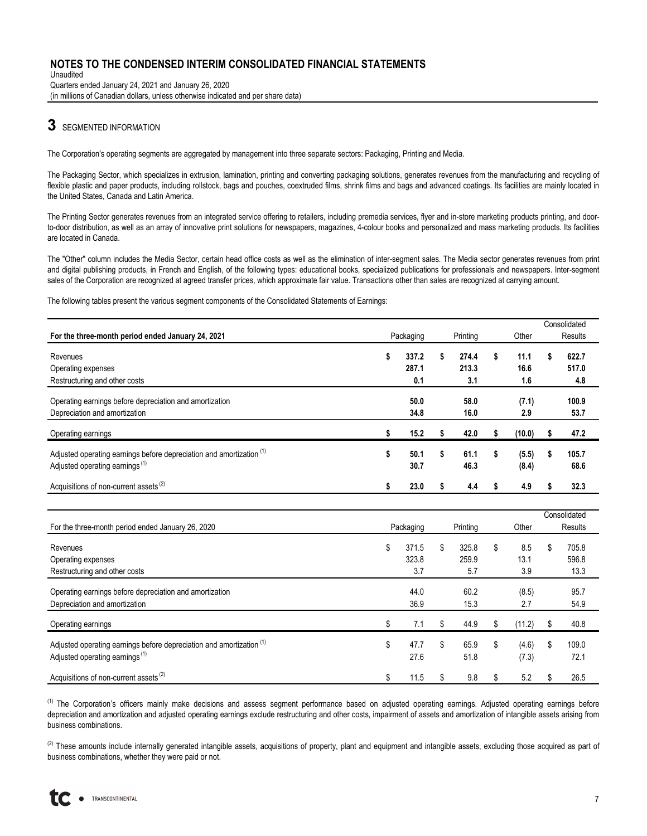Unaudited Quarters ended January 24, 2021 and January 26, 2020 (in millions of Canadian dollars, unless otherwise indicated and per share data)

## **3** SEGMENTED INFORMATION

The Corporation's operating segments are aggregated by management into three separate sectors: Packaging, Printing and Media.

The Packaging Sector, which specializes in extrusion, lamination, printing and converting packaging solutions, generates revenues from the manufacturing and recycling of flexible plastic and paper products, including rollstock, bags and pouches, coextruded films, shrink films and bags and advanced coatings. Its facilities are mainly located in the United States, Canada and Latin America.

The Printing Sector generates revenues from an integrated service offering to retailers, including premedia services, flyer and in-store marketing products printing, and doorto-door distribution, as well as an array of innovative print solutions for newspapers, magazines, 4-colour books and personalized and mass marketing products. Its facilities are located in Canada.

The "Other" column includes the Media Sector, certain head office costs as well as the elimination of inter-segment sales. The Media sector generates revenues from print and digital publishing products, in French and English, of the following types: educational books, specialized publications for professionals and newspapers. Inter-segment sales of the Corporation are recognized at agreed transfer prices, which approximate fair value. Transactions other than sales are recognized at carrying amount.

The following tables present the various segment components of the Consolidated Statements of Earnings:

|                                                                                                                               |   |              |    |              |   |                |   | Consolidated  |
|-------------------------------------------------------------------------------------------------------------------------------|---|--------------|----|--------------|---|----------------|---|---------------|
| For the three-month period ended January 24, 2021                                                                             |   | Packaging    |    | Printing     |   | Other          |   | Results       |
| Revenues                                                                                                                      | S | 337.2        | S  | 274.4        | S | 11.1           |   | 622.7         |
| Operating expenses                                                                                                            |   | 287.1        |    | 213.3        |   | 16.6           |   | 517.0         |
| Restructuring and other costs                                                                                                 |   | 0.1          |    | 3.1          |   | 1.6            |   | 4.8           |
| Operating earnings before depreciation and amortization<br>Depreciation and amortization                                      |   | 50.0<br>34.8 |    | 58.0<br>16.0 |   | (7.1)<br>2.9   |   | 100.9<br>53.7 |
| Operating earnings                                                                                                            |   | 15.2         |    | 42.0         |   | (10.0)         |   | 47.2          |
| Adjusted operating earnings before depreciation and amortization <sup>(1)</sup><br>Adjusted operating earnings <sup>(1)</sup> | S | 50.1<br>30.7 | \$ | 61.1<br>46.3 | s | (5.5)<br>(8.4) | s | 105.7<br>68.6 |
| Acquisitions of non-current assets <sup>(2)</sup>                                                                             |   | 23.0         |    | 4.4          |   | 4.9            |   | 32.3          |
|                                                                                                                               |   |              |    |              |   |                |   |               |

|                                                                                                                               |                    |                    |    |                | Consolidated        |
|-------------------------------------------------------------------------------------------------------------------------------|--------------------|--------------------|----|----------------|---------------------|
| For the three-month period ended January 26, 2020                                                                             | Packaging          | Printing           |    | Other          | Results             |
| Revenues                                                                                                                      | \$<br>371.5        | \$<br>325.8        | \$ | 8.5            | \$<br>705.8         |
| Operating expenses                                                                                                            | 323.8              | 259.9              |    | 13.1           | 596.8               |
| Restructuring and other costs                                                                                                 | 3.7                | 5.7                |    | 3.9            | 13.3                |
| Operating earnings before depreciation and amortization<br>Depreciation and amortization                                      | 44.0<br>36.9       | 60.2<br>15.3       |    | (8.5)<br>2.7   | 95.7<br>54.9        |
| Operating earnings                                                                                                            | \$<br>7.1          | \$<br>44.9         | \$ | (11.2)         | \$<br>40.8          |
| Adjusted operating earnings before depreciation and amortization <sup>(1)</sup><br>Adjusted operating earnings <sup>(1)</sup> | \$<br>47.7<br>27.6 | \$<br>65.9<br>51.8 | \$ | (4.6)<br>(7.3) | \$<br>109.0<br>72.1 |
| Acquisitions of non-current assets <sup>(2)</sup>                                                                             | \$<br>11.5         | \$<br>9.8          | S  | 5.2            | \$<br>26.5          |

<sup>(1)</sup> The Corporation's officers mainly make decisions and assess segment performance based on adjusted operatings. Adjusted operating earnings before depreciation and amortization and adjusted operating earnings exclude restructuring and other costs, impairment of assets and amortization of intangible assets arising from business combinations.

<sup>(2)</sup> These amounts include internally generated intangible assets, acquisitions of property, plant and equipment and intangible assets, excluding those acquired as part of business combinations, whether they were paid or not.

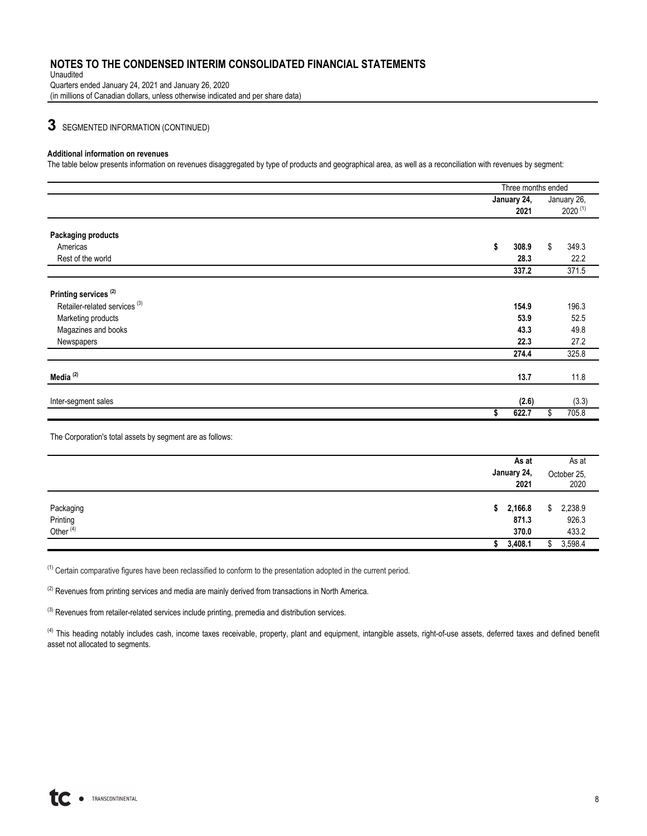Unaudited Quarters ended January 24, 2021 and January 26, 2020 (in millions of Canadian dollars, unless otherwise indicated and per share data)

## **3** SEGMENTED INFORMATION (CONTINUED)

#### **Additional information on revenues**

The table below presents information on revenues disaggregated by type of products and geographical area, as well as a reconciliation with revenues by segment:

|                                          | Three months ended |              |
|------------------------------------------|--------------------|--------------|
|                                          | January 24,        | January 26,  |
|                                          | 2021               | $2020^{(1)}$ |
| <b>Packaging products</b>                |                    |              |
| Americas                                 | \$<br>308.9        | \$<br>349.3  |
| Rest of the world                        | 28.3               | 22.2         |
|                                          | 337.2              | 371.5        |
| Printing services <sup>(2)</sup>         |                    |              |
| Retailer-related services <sup>(3)</sup> | 154.9              | 196.3        |
| Marketing products                       | 53.9               | 52.5         |
| Magazines and books                      | 43.3               | 49.8         |
| Newspapers                               | 22.3               | 27.2         |
|                                          | 274.4              | 325.8        |
|                                          |                    |              |
| Media <sup>(2)</sup>                     | 13.7               | 11.8         |
| Inter-segment sales                      | (2.6)              | (3.3)        |
|                                          | 622.7<br>\$        | 705.8<br>\$  |
|                                          |                    |              |

The Corporation's total assets by segment are as follows:

|                                               | As at<br>January 24,<br>2021 | As at<br>October 25,<br>2020    |
|-----------------------------------------------|------------------------------|---------------------------------|
| Packaging<br>Printing<br>Other <sup>(4)</sup> | \$2,166.8<br>871.3<br>370.0  | 2,238.9<br>\$<br>926.3<br>433.2 |
|                                               | 3,408.1                      | 3,598.4                         |

(1) Certain comparative figures have been reclassified to conform to the presentation adopted in the current period.

 $(2)$  Revenues from printing services and media are mainly derived from transactions in North America.

 $(3)$  Revenues from retailer-related services include printing, premedia and distribution services.

<sup>(4)</sup> This heading notably includes cash, income taxes receivable, property, plant and equipment, intangible assets, right-of-use assets, deferred taxes and defined benefit asset not allocated to segments.

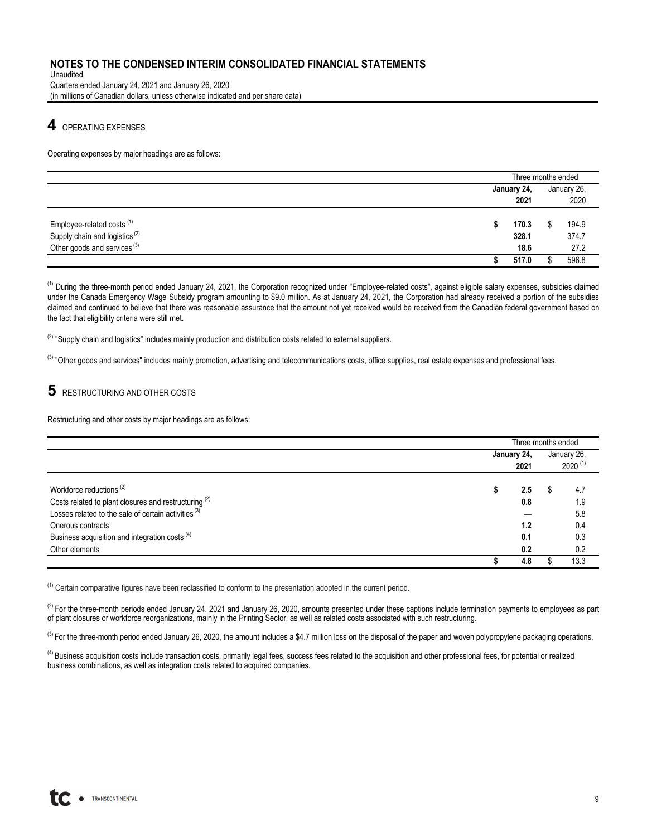Unaudited Quarters ended January 24, 2021 and January 26, 2020 (in millions of Canadian dollars, unless otherwise indicated and per share data)

## **4** OPERATING EXPENSES

Operating expenses by major headings are as follows:

|                                                                                                                               |  | Three months ended     |                        |  |
|-------------------------------------------------------------------------------------------------------------------------------|--|------------------------|------------------------|--|
|                                                                                                                               |  | January 24,            | January 26,            |  |
|                                                                                                                               |  | 2021                   | 2020                   |  |
| Employee-related costs <sup>(1)</sup><br>Supply chain and logistics <sup>(2)</sup><br>Other goods and services <sup>(3)</sup> |  | 170.3<br>328.1<br>18.6 | 194.9<br>374.7<br>27.2 |  |
|                                                                                                                               |  | 517.0                  | 596.8                  |  |

<sup>(1)</sup> During the three-month period ended January 24, 2021, the Corporation recognized under "Employee-related costs", against eligible salary expenses, subsidies claimed under the Canada Emergency Wage Subsidy program amounting to \$9.0 million. As at January 24, 2021, the Corporation had already received a portion of the subsidies claimed and continued to believe that there was reasonable assurance that the amount not yet received would be received from the Canadian federal government based on the fact that eligibility criteria were still met.

 $(2)$  "Supply chain and logistics" includes mainly production and distribution costs related to external suppliers.

<sup>(3)</sup> "Other goods and services" includes mainly promotion, advertising and telecommunications costs, office supplies, real estate expenses and professional fees.

## **5** RESTRUCTURING AND OTHER COSTS

Restructuring and other costs by major headings are as follows:

|                                                                                                                                     |             | Three months ended |             |  |  |  |  |  |
|-------------------------------------------------------------------------------------------------------------------------------------|-------------|--------------------|-------------|--|--|--|--|--|
|                                                                                                                                     | January 24, |                    | January 26, |  |  |  |  |  |
|                                                                                                                                     | 2021        | $2020^{(1)}$       |             |  |  |  |  |  |
| Workforce reductions <sup>(2)</sup>                                                                                                 | 2.5         |                    | 4.7         |  |  |  |  |  |
| Costs related to plant closures and restructuring <sup>(2)</sup><br>Losses related to the sale of certain activities <sup>(3)</sup> | 0.8         |                    | 1.9<br>5.8  |  |  |  |  |  |
| Onerous contracts                                                                                                                   | 1.2         |                    | 0.4         |  |  |  |  |  |
| Business acquisition and integration costs <sup>(4)</sup>                                                                           | 0.1         |                    | 0.3         |  |  |  |  |  |
| Other elements                                                                                                                      | 0.2         |                    | 0.2         |  |  |  |  |  |
|                                                                                                                                     | 4.8         |                    | 13.3        |  |  |  |  |  |

<sup>(1)</sup> Certain comparative figures have been reclassified to conform to the presentation adopted in the current period.

 $^{(2)}$  For the three-month periods ended January 24, 2021 and January 26, 2020, amounts presented under these captions include termination payments to employees as part of plant closures or workforce reorganizations, mainly in the Printing Sector, as well as related costs associated with such restructuring.

<sup>(3)</sup> For the three-month period ended January 26, 2020, the amount includes a \$4.7 million loss on the disposal of the paper and woven polypropylene packaging operations.

 $^{(4)}$  Business acquisition costs include transaction costs, primarily legal fees, success fees related to the acquisition and other professional fees, for potential or realized business combinations, as well as integration costs related to acquired companies.

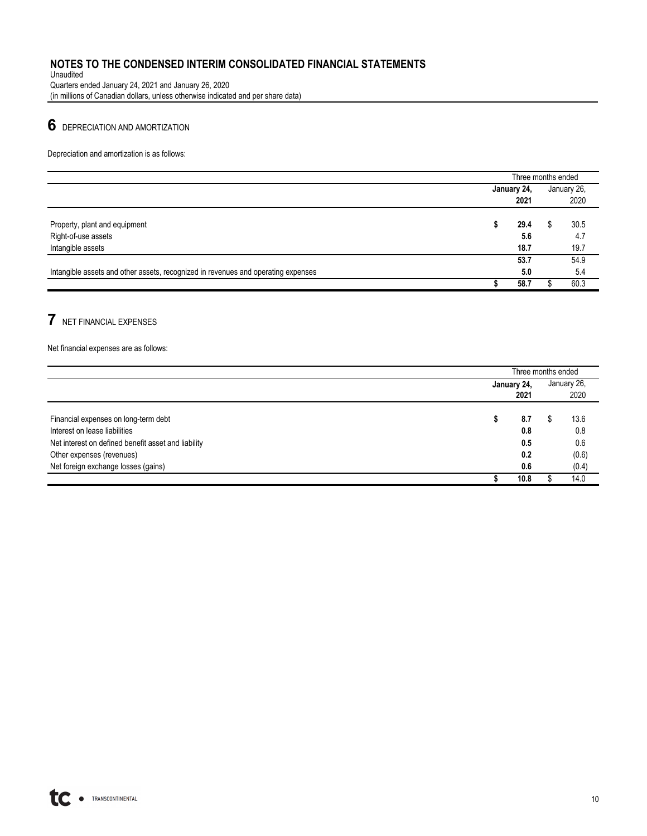Unaudited Quarters ended January 24, 2021 and January 26, 2020 (in millions of Canadian dollars, unless otherwise indicated and per share data)

# **6** DEPRECIATION AND AMORTIZATION

Depreciation and amortization is as follows:

|                                                                                   |             | Three months ended |   |             |  |  |  |  |
|-----------------------------------------------------------------------------------|-------------|--------------------|---|-------------|--|--|--|--|
|                                                                                   | January 24, |                    |   | January 26, |  |  |  |  |
|                                                                                   |             | 2021               |   | 2020        |  |  |  |  |
|                                                                                   |             |                    |   |             |  |  |  |  |
| Property, plant and equipment                                                     |             | 29.4               | ď | 30.5        |  |  |  |  |
| Right-of-use assets                                                               |             | 5.6                |   | 4.7         |  |  |  |  |
| Intangible assets                                                                 |             | 18.7               |   | 19.7        |  |  |  |  |
|                                                                                   |             | 53.7               |   | 54.9        |  |  |  |  |
| Intangible assets and other assets, recognized in revenues and operating expenses |             | 5.0                |   | 5.4         |  |  |  |  |
|                                                                                   |             | 58.7               |   | 60.3        |  |  |  |  |

## **7** NET FINANCIAL EXPENSES

Net financial expenses are as follows:

|                                                     | Three months ended |  |             |  |  |  |  |
|-----------------------------------------------------|--------------------|--|-------------|--|--|--|--|
|                                                     | January 24,        |  | January 26, |  |  |  |  |
|                                                     | 2021               |  | 2020        |  |  |  |  |
|                                                     |                    |  |             |  |  |  |  |
| Financial expenses on long-term debt                | 8.7                |  | 13.6        |  |  |  |  |
| Interest on lease liabilities                       | 0.8                |  | 0.8         |  |  |  |  |
| Net interest on defined benefit asset and liability | 0.5                |  | 0.6         |  |  |  |  |
| Other expenses (revenues)                           | 0.2                |  | (0.6)       |  |  |  |  |
| Net foreign exchange losses (gains)                 | 0.6                |  | (0.4)       |  |  |  |  |
|                                                     | 10.8               |  | 14.0        |  |  |  |  |

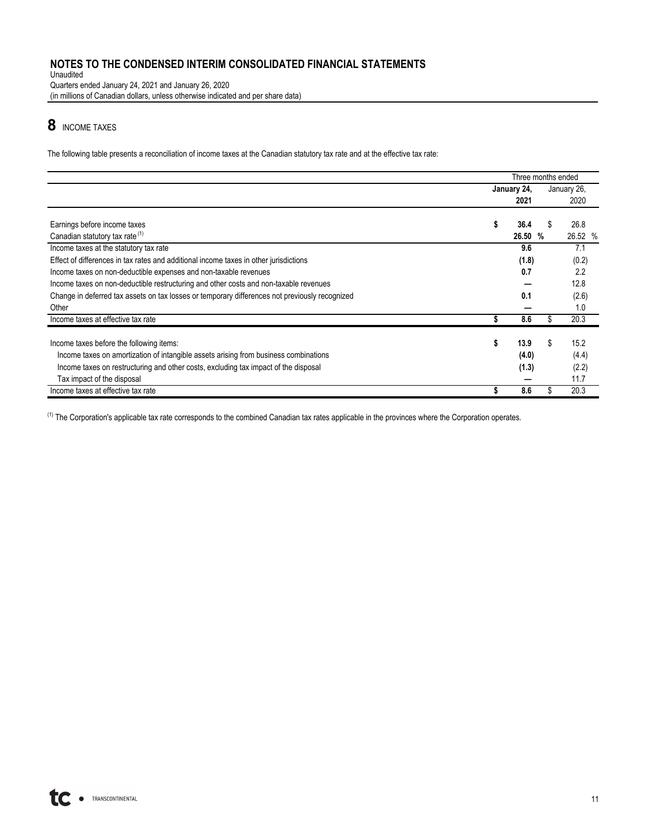Unaudited Quarters ended January 24, 2021 and January 26, 2020 (in millions of Canadian dollars, unless otherwise indicated and per share data)

# **8** INCOME TAXES

The following table presents a reconciliation of income taxes at the Canadian statutory tax rate and at the effective tax rate:

|                                                                                                | Three months ended |             |   |             |  |  |
|------------------------------------------------------------------------------------------------|--------------------|-------------|---|-------------|--|--|
|                                                                                                |                    | January 24, |   | January 26, |  |  |
|                                                                                                |                    | 2021        |   | 2020        |  |  |
|                                                                                                |                    |             |   |             |  |  |
| Earnings before income taxes                                                                   | \$                 | 36.4        | S | 26.8        |  |  |
| Canadian statutory tax rate (1)                                                                |                    | 26.50 %     |   | 26.52 %     |  |  |
| Income taxes at the statutory tax rate                                                         |                    | 9.6         |   | 7.1         |  |  |
| Effect of differences in tax rates and additional income taxes in other jurisdictions          |                    | (1.8)       |   | (0.2)       |  |  |
| Income taxes on non-deductible expenses and non-taxable revenues                               |                    | 0.7         |   | 2.2         |  |  |
| Income taxes on non-deductible restructuring and other costs and non-taxable revenues          |                    |             |   | 12.8        |  |  |
| Change in deferred tax assets on tax losses or temporary differences not previously recognized |                    | 0.1         |   | (2.6)       |  |  |
| Other                                                                                          |                    |             |   | 1.0         |  |  |
| Income taxes at effective tax rate                                                             |                    | 8.6         |   | 20.3        |  |  |
| Income taxes before the following items:                                                       | \$                 | 13.9        | S | 15.2        |  |  |
|                                                                                                |                    |             |   |             |  |  |
| Income taxes on amortization of intangible assets arising from business combinations           |                    | (4.0)       |   | (4.4)       |  |  |
| Income taxes on restructuring and other costs, excluding tax impact of the disposal            |                    | (1.3)       |   | (2.2)       |  |  |
| Tax impact of the disposal                                                                     |                    |             |   | 11.7        |  |  |
| Income taxes at effective tax rate                                                             |                    | 8.6         |   | 20.3        |  |  |

<sup>(1)</sup> The Corporation's applicable tax rate corresponds to the combined Canadian tax rates applicable in the provinces where the Corporation operates.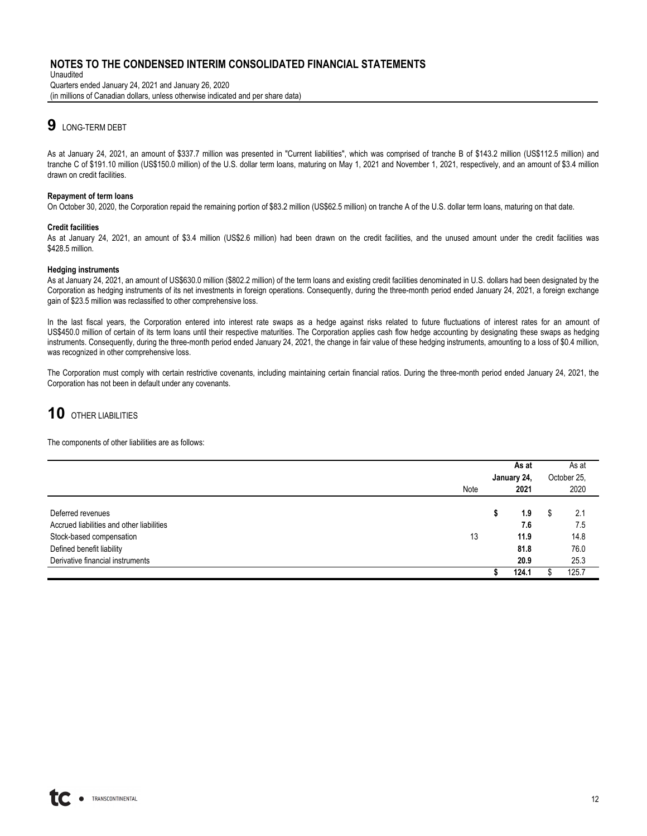Unaudited Quarters ended January 24, 2021 and January 26, 2020 (in millions of Canadian dollars, unless otherwise indicated and per share data)

## **9** LONG-TERM DEBT

As at January 24, 2021, an amount of \$337.7 million was presented in "Current liabilities", which was comprised of tranche B of \$143.2 million (US\$112.5 million) and tranche C of \$191.10 million (US\$150.0 million) of the U.S. dollar term loans, maturing on May 1, 2021 and November 1, 2021, respectively, and an amount of \$3.4 million drawn on credit facilities.

#### **Repayment of term loans**

On October 30, 2020, the Corporation repaid the remaining portion of \$83.2 million (US\$62.5 million) on tranche A of the U.S. dollar term loans, maturing on that date.

#### **Credit facilities**

As at January 24, 2021, an amount of \$3.4 million (US\$2.6 million) had been drawn on the credit facilities, and the unused amount under the credit facilities was \$428.5 million.

#### **Hedging instruments**

As at January 24, 2021, an amount of US\$630.0 million (\$802.2 million) of the term loans and existing credit facilities denominated in U.S. dollars had been designated by the Corporation as hedging instruments of its net investments in foreign operations. Consequently, during the three-month period ended January 24, 2021, a foreign exchange gain of \$23.5 million was reclassified to other comprehensive loss.

In the last fiscal years, the Corporation entered into interest rate swaps as a hedge against risks related to future fluctuations of interest rates for an amount of US\$450.0 million of certain of its term loans until their respective maturities. The Corporation applies cash flow hedge accounting by designating these swaps as hedging instruments. Consequently, during the three-month period ended January 24, 2021, the change in fair value of these hedging instruments, amounting to a loss of \$0.4 million, was recognized in other comprehensive loss.

The Corporation must comply with certain restrictive covenants, including maintaining certain financial ratios. During the three-month period ended January 24, 2021, the Corporation has not been in default under any covenants.

# **10** OTHER LIABILITIES

The components of other liabilities are as follows:

|                                           |      |             | As at | As at       |       |  |
|-------------------------------------------|------|-------------|-------|-------------|-------|--|
|                                           |      |             |       |             |       |  |
|                                           |      | January 24, |       | October 25. |       |  |
|                                           | Note | 2021        |       | 2020        |       |  |
|                                           |      |             |       |             |       |  |
| Deferred revenues                         |      | S           | 1.9   | S           | 2.1   |  |
| Accrued liabilities and other liabilities |      |             | 7.6   |             | 7.5   |  |
| Stock-based compensation                  | 13   |             | 11.9  |             | 14.8  |  |
| Defined benefit liability                 |      |             | 81.8  |             | 76.0  |  |
| Derivative financial instruments          |      |             | 20.9  |             | 25.3  |  |
|                                           |      |             | 124.1 |             | 125.7 |  |
|                                           |      |             |       |             |       |  |

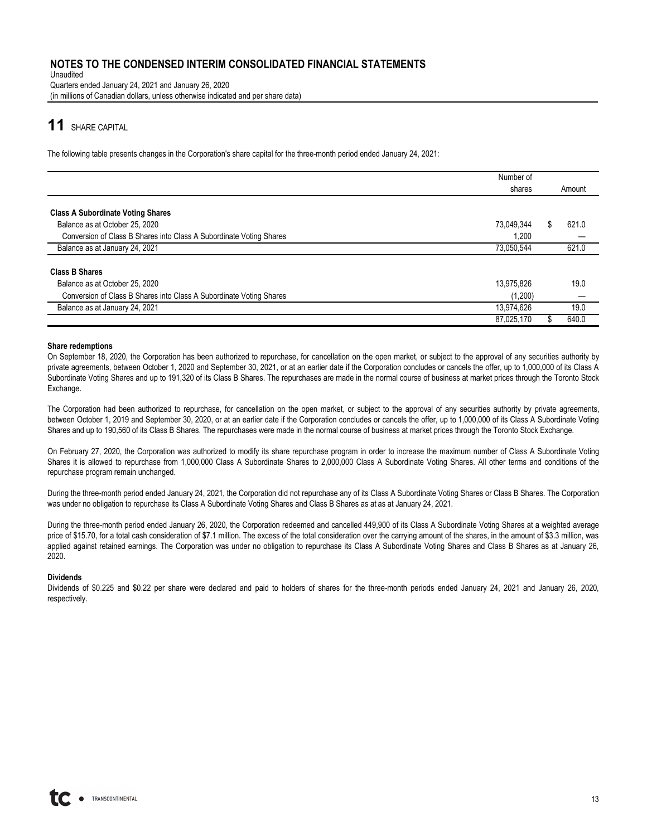Unaudited Quarters ended January 24, 2021 and January 26, 2020 (in millions of Canadian dollars, unless otherwise indicated and per share data)

## **11** SHARE CAPITAL

The following table presents changes in the Corporation's share capital for the three-month period ended January 24, 2021:

|                                                                     | Number of  |    |        |
|---------------------------------------------------------------------|------------|----|--------|
|                                                                     | shares     |    | Amount |
|                                                                     |            |    |        |
| <b>Class A Subordinate Voting Shares</b>                            |            |    |        |
| Balance as at October 25, 2020                                      | 73.049.344 | S. | 621.0  |
| Conversion of Class B Shares into Class A Subordinate Voting Shares | 1,200      |    |        |
| Balance as at January 24, 2021                                      | 73,050,544 |    | 621.0  |
| <b>Class B Shares</b>                                               |            |    |        |
| Balance as at October 25, 2020                                      | 13,975,826 |    | 19.0   |
| Conversion of Class B Shares into Class A Subordinate Voting Shares | (1,200)    |    |        |
| Balance as at January 24, 2021                                      | 13,974,626 |    | 19.0   |
|                                                                     | 87,025,170 |    | 640.0  |

#### **Share redemptions**

On September 18, 2020, the Corporation has been authorized to repurchase, for cancellation on the open market, or subject to the approval of any securities authority by private agreements, between October 1, 2020 and September 30, 2021, or at an earlier date if the Corporation concludes or cancels the offer, up to 1,000,000 of its Class A Subordinate Voting Shares and up to 191,320 of its Class B Shares. The repurchases are made in the normal course of business at market prices through the Toronto Stock Exchange.

The Corporation had been authorized to repurchase, for cancellation on the open market, or subject to the approval of any securities authority by private agreements, between October 1, 2019 and September 30, 2020, or at an earlier date if the Corporation concludes or cancels the offer, up to 1,000,000 of its Class A Subordinate Voting Shares and up to 190,560 of its Class B Shares. The repurchases were made in the normal course of business at market prices through the Toronto Stock Exchange.

On February 27, 2020, the Corporation was authorized to modify its share repurchase program in order to increase the maximum number of Class A Subordinate Voting Shares it is allowed to repurchase from 1,000,000 Class A Subordinate Shares to 2,000,000 Class A Subordinate Voting Shares. All other terms and conditions of the repurchase program remain unchanged.

During the three-month period ended January 24, 2021, the Corporation did not repurchase any of its Class A Subordinate Voting Shares or Class B Shares. The Corporation was under no obligation to repurchase its Class A Subordinate Voting Shares and Class B Shares as at as at January 24, 2021.

During the three-month period ended January 26, 2020, the Corporation redeemed and cancelled 449,900 of its Class A Subordinate Voting Shares at a weighted average price of \$15.70, for a total cash consideration of \$7.1 million. The excess of the total consideration over the carrying amount of the shares, in the amount of \$3.3 million, was applied against retained earnings. The Corporation was under no obligation to repurchase its Class A Subordinate Voting Shares and Class B Shares as at January 26, 2020.

#### **Dividends**

Dividends of \$0.225 and \$0.22 per share were declared and paid to holders of shares for the three-month periods ended January 24, 2021 and January 26, 2020, respectively.

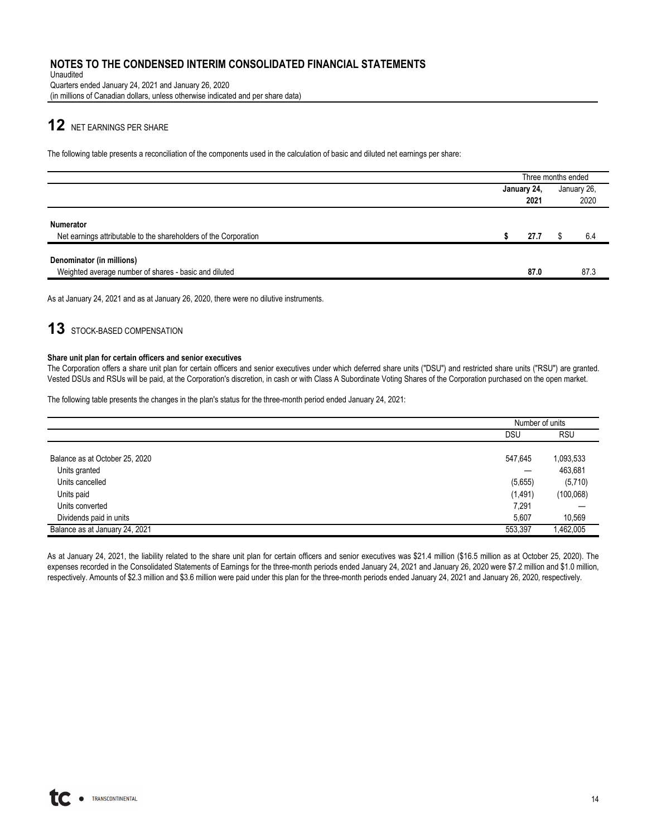Unaudited Quarters ended January 24, 2021 and January 26, 2020 (in millions of Canadian dollars, unless otherwise indicated and per share data)

# **12** NET EARNINGS PER SHARE

The following table presents a reconciliation of the components used in the calculation of basic and diluted net earnings per share:

|                                                                                      |             | Three months ended |
|--------------------------------------------------------------------------------------|-------------|--------------------|
|                                                                                      | January 24, | January 26,        |
|                                                                                      | 2021        | 2020               |
| <b>Numerator</b><br>Net earnings attributable to the shareholders of the Corporation | 27.7        | 6.4                |
| Denominator (in millions)                                                            |             |                    |
| Weighted average number of shares - basic and diluted                                | 87.0        | 87.3               |

As at January 24, 2021 and as at January 26, 2020, there were no dilutive instruments.

## 13 STOCK-BASED COMPENSATION

#### **Share unit plan for certain officers and senior executives**

The Corporation offers a share unit plan for certain officers and senior executives under which deferred share units ("DSU") and restricted share units ("RSU") are granted. Vested DSUs and RSUs will be paid, at the Corporation's discretion, in cash or with Class A Subordinate Voting Shares of the Corporation purchased on the open market.

The following table presents the changes in the plan's status for the three-month period ended January 24, 2021:

|                                | Number of units |            |
|--------------------------------|-----------------|------------|
|                                | DSU             | <b>RSU</b> |
|                                |                 |            |
| Balance as at October 25, 2020 | 547,645         | 1,093,533  |
| Units granted                  |                 | 463,681    |
| Units cancelled                | (5,655)         | (5,710)    |
| Units paid                     | (1, 491)        | (100, 068) |
| Units converted                | 7,291           |            |
| Dividends paid in units        | 5,607           | 10,569     |
| Balance as at January 24, 2021 | 553,397         | 1,462,005  |

As at January 24, 2021, the liability related to the share unit plan for certain officers and senior executives was \$21.4 million (\$16.5 million as at October 25, 2020). The expenses recorded in the Consolidated Statements of Earnings for the three-month periods ended January 24, 2021 and January 26, 2020 were \$7.2 million and \$1.0 million, respectively. Amounts of \$2.3 million and \$3.6 million were paid under this plan for the three-month periods ended January 24, 2021 and January 26, 2020, respectively.

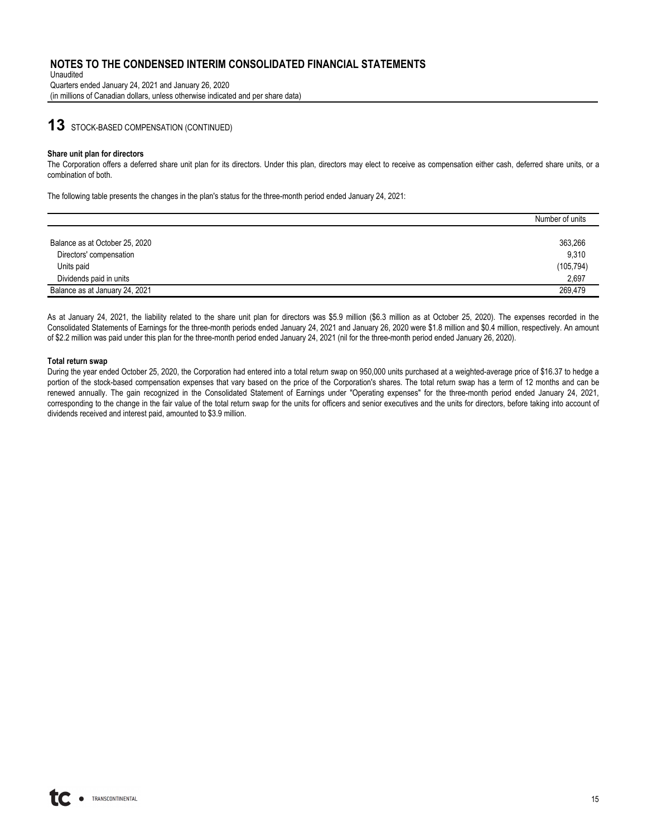Unaudited Quarters ended January 24, 2021 and January 26, 2020 (in millions of Canadian dollars, unless otherwise indicated and per share data)

## **13** STOCK-BASED COMPENSATION (CONTINUED)

#### **Share unit plan for directors**

The Corporation offers a deferred share unit plan for its directors. Under this plan, directors may elect to receive as compensation either cash, deferred share units, or a combination of both.

The following table presents the changes in the plan's status for the three-month period ended January 24, 2021:

|                                | Number of units |
|--------------------------------|-----------------|
|                                |                 |
| Balance as at October 25, 2020 | 363,266         |
| Directors' compensation        | 9,310           |
| Units paid                     | (105, 794)      |
| Dividends paid in units        | 2,697           |
| Balance as at January 24, 2021 | 269.479         |

As at January 24, 2021, the liability related to the share unit plan for directors was \$5.9 million (\$6.3 million as at October 25, 2020). The expenses recorded in the Consolidated Statements of Earnings for the three-month periods ended January 24, 2021 and January 26, 2020 were \$1.8 million and \$0.4 million, respectively. An amount of \$2.2 million was paid under this plan for the three-month period ended January 24, 2021 (nil for the three-month period ended January 26, 2020).

#### **Total return swap**

During the year ended October 25, 2020, the Corporation had entered into a total return swap on 950,000 units purchased at a weighted-average price of \$16.37 to hedge a portion of the stock-based compensation expenses that vary based on the price of the Corporation's shares. The total return swap has a term of 12 months and can be renewed annually. The gain recognized in the Consolidated Statement of Earnings under "Operating expenses" for the three-month period ended January 24, 2021, corresponding to the change in the fair value of the total return swap for the units for officers and senior executives and the units for directors, before taking into account of dividends received and interest paid, amounted to \$3.9 million.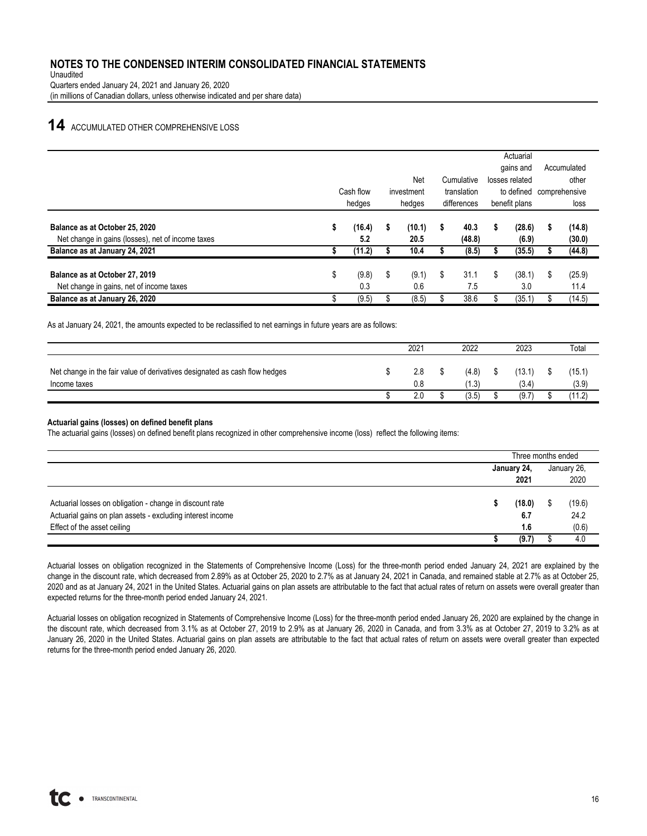Unaudited Quarters ended January 24, 2021 and January 26, 2020 (in millions of Canadian dollars, unless otherwise indicated and per share data)

## **14** ACCUMULATED OTHER COMPREHENSIVE LOSS

|                                                   |                                        |        |        |        |             |            |               | Actuarial      |               |        |
|---------------------------------------------------|----------------------------------------|--------|--------|--------|-------------|------------|---------------|----------------|---------------|--------|
|                                                   |                                        |        |        |        |             |            |               | gains and      | Accumulated   |        |
|                                                   |                                        |        |        | Net    |             | Cumulative |               | losses related |               | other  |
|                                                   | Cash flow<br>translation<br>investment |        |        |        |             |            | to defined    |                | comprehensive |        |
|                                                   |                                        | hedges | hedges |        | differences |            | benefit plans |                |               | loss   |
| Balance as at October 25, 2020                    | \$                                     | (16.4) | \$     | (10.1) | s           | 40.3       | S             | (28.6)         | \$            | (14.8) |
| Net change in gains (losses), net of income taxes |                                        | 5.2    |        | 20.5   |             | (48.8)     |               | (6.9)          |               | (30.0) |
| Balance as at January 24, 2021                    |                                        | (11.2) |        | 10.4   |             | (8.5)      |               | (35.5)         |               | (44.8) |
| Balance as at October 27, 2019                    | \$                                     | (9.8)  | \$     | (9.1)  | \$          | 31.1       | S             | (38.1)         | \$            | (25.9) |
| Net change in gains, net of income taxes          |                                        | 0.3    |        | 0.6    |             | 7.5        |               | 3.0            |               | 11.4   |
| Balance as at January 26, 2020                    |                                        | (9.5)  | Œ      | (8.5)  |             | 38.6       |               | (35.1)         | J.            | (14.5) |
|                                                   |                                        |        |        |        |             |            |               |                |               |        |

As at January 24, 2021, the amounts expected to be reclassified to net earnings in future years are as follows:

|                                                                                            | 2021       | 2022           | 2023          | Total          |
|--------------------------------------------------------------------------------------------|------------|----------------|---------------|----------------|
| Net change in the fair value of derivatives designated as cash flow hedges<br>Income taxes | 2.8<br>0.8 | (4.8)<br>(1.3) | 13.1<br>(3.4) | (15.1<br>(3.9) |
|                                                                                            | 2.0        | (3.5)          | (9.7)         | (11.2)         |

#### **Actuarial gains (losses) on defined benefit plans**

The actuarial gains (losses) on defined benefit plans recognized in other comprehensive income (loss) reflect the following items:

|                                                                                                                                                       | Three months ended |                      |             |                         |  |
|-------------------------------------------------------------------------------------------------------------------------------------------------------|--------------------|----------------------|-------------|-------------------------|--|
|                                                                                                                                                       |                    | January 24,          | January 26, |                         |  |
|                                                                                                                                                       |                    | 2021                 |             | 2020                    |  |
| Actuarial losses on obligation - change in discount rate<br>Actuarial gains on plan assets - excluding interest income<br>Effect of the asset ceiling |                    | (18.0)<br>6.7<br>1.6 |             | (19.6)<br>24.2<br>(0.6) |  |
|                                                                                                                                                       |                    | (9.7)                |             | 4.0                     |  |

Actuarial losses on obligation recognized in the Statements of Comprehensive Income (Loss) for the three-month period ended January 24, 2021 are explained by the change in the discount rate, which decreased from 2.89% as at October 25, 2020 to 2.7% as at January 24, 2021 in Canada, and remained stable at 2.7% as at October 25, 2020 and as at January 24, 2021 in the United States. Actuarial gains on plan assets are attributable to the fact that actual rates of return on assets were overall greater than expected returns for the three-month period ended January 24, 2021.

Actuarial losses on obligation recognized in Statements of Comprehensive Income (Loss) for the three-month period ended January 26, 2020 are explained by the change in the discount rate, which decreased from 3.1% as at October 27, 2019 to 2.9% as at January 26, 2020 in Canada, and from 3.3% as at October 27, 2019 to 3.2% as at January 26, 2020 in the United States. Actuarial gains on plan assets are attributable to the fact that actual rates of return on assets were overall greater than expected returns for the three-month period ended January 26, 2020.

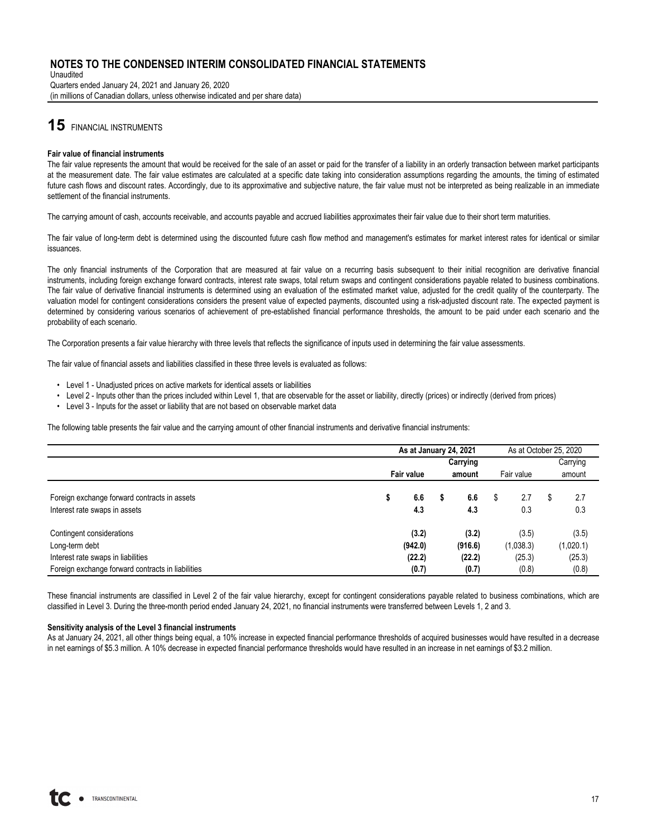Unaudited Quarters ended January 24, 2021 and January 26, 2020 (in millions of Canadian dollars, unless otherwise indicated and per share data)

# **15** FINANCIAL INSTRUMENTS

#### **Fair value of financial instruments**

The fair value represents the amount that would be received for the sale of an asset or paid for the transfer of a liability in an orderly transaction between market participants at the measurement date. The fair value estimates are calculated at a specific date taking into consideration assumptions regarding the amounts, the timing of estimated future cash flows and discount rates. Accordingly, due to its approximative and subjective nature, the fair value must not be interpreted as being realizable in an immediate settlement of the financial instruments.

The carrying amount of cash, accounts receivable, and accounts payable and accrued liabilities approximates their fair value due to their short term maturities.

The fair value of long-term debt is determined using the discounted future cash flow method and management's estimates for market interest rates for identical or similar issuances.

The only financial instruments of the Corporation that are measured at fair value on a recurring basis subsequent to their initial recognition are derivative financial instruments, including foreign exchange forward contracts, interest rate swaps, total return swaps and contingent considerations payable related to business combinations. The fair value of derivative financial instruments is determined using an evaluation of the estimated market value, adjusted for the credit quality of the counterparty. The valuation model for contingent considerations considers the present value of expected payments, discounted using a risk-adjusted discount rate. The expected payment is determined by considering various scenarios of achievement of pre-established financial performance thresholds, the amount to be paid under each scenario and the probability of each scenario.

The Corporation presents a fair value hierarchy with three levels that reflects the significance of inputs used in determining the fair value assessments.

The fair value of financial assets and liabilities classified in these three levels is evaluated as follows:

- Level 1 Unadjusted prices on active markets for identical assets or liabilities
- Level 2 Inputs other than the prices included within Level 1, that are observable for the asset or liability, directly (prices) or indirectly (derived from prices)
- Level 3 Inputs for the asset or liability that are not based on observable market data

The following table presents the fair value and the carrying amount of other financial instruments and derivative financial instruments:

|                                                                               | As at January 24, 2021 |            |   |            | As at October 25, 2020 |            |   |            |
|-------------------------------------------------------------------------------|------------------------|------------|---|------------|------------------------|------------|---|------------|
|                                                                               |                        |            |   | Carrying   |                        |            |   | Carrying   |
|                                                                               |                        | Fair value |   | amount     |                        | Fair value |   | amount     |
| Foreign exchange forward contracts in assets<br>Interest rate swaps in assets | \$                     | 6.6<br>4.3 | S | 6.6<br>4.3 | \$                     | 2.7<br>0.3 | S | 2.7<br>0.3 |
|                                                                               |                        |            |   |            |                        |            |   |            |
| Contingent considerations                                                     |                        | (3.2)      |   | (3.2)      |                        | (3.5)      |   | (3.5)      |
| Long-term debt                                                                |                        | (942.0)    |   | (916.6)    |                        | (1,038.3)  |   | (1,020.1)  |
| Interest rate swaps in liabilities                                            |                        | (22.2)     |   | (22.2)     |                        | (25.3)     |   | (25.3)     |
| Foreign exchange forward contracts in liabilities                             |                        | (0.7)      |   | (0.7)      |                        | (0.8)      |   | (0.8)      |

These financial instruments are classified in Level 2 of the fair value hierarchy, except for contingent considerations payable related to business combinations, which are classified in Level 3. During the three-month period ended January 24, 2021, no financial instruments were transferred between Levels 1, 2 and 3.

#### **Sensitivity analysis of the Level 3 financial instruments**

As at January 24, 2021, all other things being equal, a 10% increase in expected financial performance thresholds of acquired businesses would have resulted in a decrease in net earnings of \$5.3 million. A 10% decrease in expected financial performance thresholds would have resulted in an increase in net earnings of \$3.2 million.